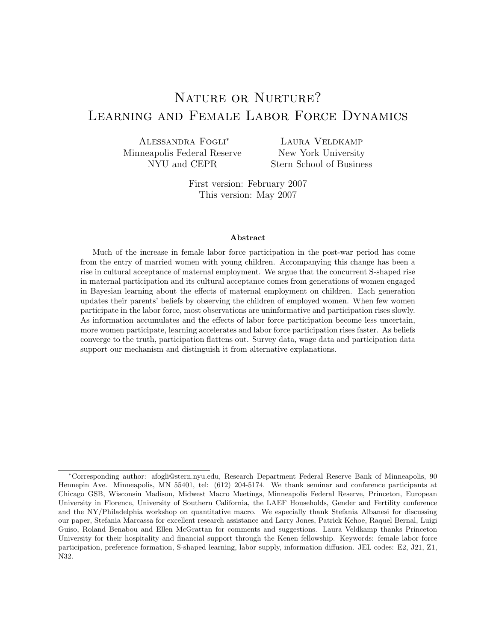# NATURE OR NURTURE? Learning and Female Labor Force Dynamics

Alessandra Fogli<sup>∗</sup> Minneapolis Federal Reserve NYU and CEPR

Laura Veldkamp New York University Stern School of Business

First version: February 2007 This version: May 2007

#### Abstract

Much of the increase in female labor force participation in the post-war period has come from the entry of married women with young children. Accompanying this change has been a rise in cultural acceptance of maternal employment. We argue that the concurrent S-shaped rise in maternal participation and its cultural acceptance comes from generations of women engaged in Bayesian learning about the effects of maternal employment on children. Each generation updates their parents' beliefs by observing the children of employed women. When few women participate in the labor force, most observations are uninformative and participation rises slowly. As information accumulates and the effects of labor force participation become less uncertain, more women participate, learning accelerates and labor force participation rises faster. As beliefs converge to the truth, participation flattens out. Survey data, wage data and participation data support our mechanism and distinguish it from alternative explanations.

<sup>∗</sup>Corresponding author: afogli@stern.nyu.edu, Research Department Federal Reserve Bank of Minneapolis, 90 Hennepin Ave. Minneapolis, MN 55401, tel: (612) 204-5174. We thank seminar and conference participants at Chicago GSB, Wisconsin Madison, Midwest Macro Meetings, Minneapolis Federal Reserve, Princeton, European University in Florence, University of Southern California, the LAEF Households, Gender and Fertility conference and the NY/Philadelphia workshop on quantitative macro. We especially thank Stefania Albanesi for discussing our paper, Stefania Marcassa for excellent research assistance and Larry Jones, Patrick Kehoe, Raquel Bernal, Luigi Guiso, Roland Benabou and Ellen McGrattan for comments and suggestions. Laura Veldkamp thanks Princeton University for their hospitality and financial support through the Kenen fellowship. Keywords: female labor force participation, preference formation, S-shaped learning, labor supply, information diffusion. JEL codes: E2, J21, Z1, N32.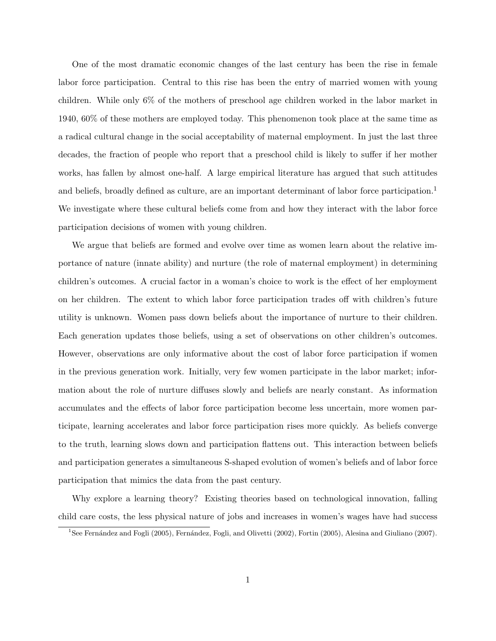One of the most dramatic economic changes of the last century has been the rise in female labor force participation. Central to this rise has been the entry of married women with young children. While only 6% of the mothers of preschool age children worked in the labor market in 1940, 60% of these mothers are employed today. This phenomenon took place at the same time as a radical cultural change in the social acceptability of maternal employment. In just the last three decades, the fraction of people who report that a preschool child is likely to suffer if her mother works, has fallen by almost one-half. A large empirical literature has argued that such attitudes and beliefs, broadly defined as culture, are an important determinant of labor force participation.<sup>1</sup> We investigate where these cultural beliefs come from and how they interact with the labor force participation decisions of women with young children.

We argue that beliefs are formed and evolve over time as women learn about the relative importance of nature (innate ability) and nurture (the role of maternal employment) in determining children's outcomes. A crucial factor in a woman's choice to work is the effect of her employment on her children. The extent to which labor force participation trades off with children's future utility is unknown. Women pass down beliefs about the importance of nurture to their children. Each generation updates those beliefs, using a set of observations on other children's outcomes. However, observations are only informative about the cost of labor force participation if women in the previous generation work. Initially, very few women participate in the labor market; information about the role of nurture diffuses slowly and beliefs are nearly constant. As information accumulates and the effects of labor force participation become less uncertain, more women participate, learning accelerates and labor force participation rises more quickly. As beliefs converge to the truth, learning slows down and participation flattens out. This interaction between beliefs and participation generates a simultaneous S-shaped evolution of women's beliefs and of labor force participation that mimics the data from the past century.

Why explore a learning theory? Existing theories based on technological innovation, falling child care costs, the less physical nature of jobs and increases in women's wages have had success

<sup>&</sup>lt;sup>1</sup>See Fernández and Fogli (2005), Fernández, Fogli, and Olivetti (2002), Fortin (2005), Alesina and Giuliano (2007).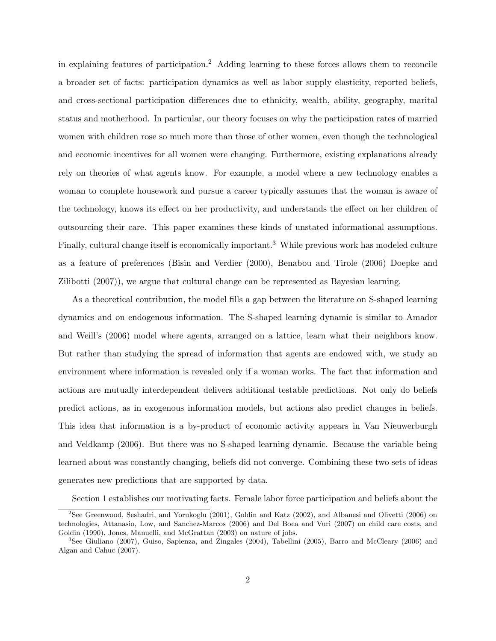in explaining features of participation.<sup>2</sup> Adding learning to these forces allows them to reconcile a broader set of facts: participation dynamics as well as labor supply elasticity, reported beliefs, and cross-sectional participation differences due to ethnicity, wealth, ability, geography, marital status and motherhood. In particular, our theory focuses on why the participation rates of married women with children rose so much more than those of other women, even though the technological and economic incentives for all women were changing. Furthermore, existing explanations already rely on theories of what agents know. For example, a model where a new technology enables a woman to complete housework and pursue a career typically assumes that the woman is aware of the technology, knows its effect on her productivity, and understands the effect on her children of outsourcing their care. This paper examines these kinds of unstated informational assumptions. Finally, cultural change itself is economically important.<sup>3</sup> While previous work has modeled culture as a feature of preferences (Bisin and Verdier (2000), Benabou and Tirole (2006) Doepke and Zilibotti (2007)), we argue that cultural change can be represented as Bayesian learning.

As a theoretical contribution, the model fills a gap between the literature on S-shaped learning dynamics and on endogenous information. The S-shaped learning dynamic is similar to Amador and Weill's (2006) model where agents, arranged on a lattice, learn what their neighbors know. But rather than studying the spread of information that agents are endowed with, we study an environment where information is revealed only if a woman works. The fact that information and actions are mutually interdependent delivers additional testable predictions. Not only do beliefs predict actions, as in exogenous information models, but actions also predict changes in beliefs. This idea that information is a by-product of economic activity appears in Van Nieuwerburgh and Veldkamp (2006). But there was no S-shaped learning dynamic. Because the variable being learned about was constantly changing, beliefs did not converge. Combining these two sets of ideas generates new predictions that are supported by data.

Section 1 establishes our motivating facts. Female labor force participation and beliefs about the

<sup>2</sup>See Greenwood, Seshadri, and Yorukoglu (2001), Goldin and Katz (2002), and Albanesi and Olivetti (2006) on technologies, Attanasio, Low, and Sanchez-Marcos (2006) and Del Boca and Vuri (2007) on child care costs, and Goldin (1990), Jones, Manuelli, and McGrattan (2003) on nature of jobs.

<sup>3</sup>See Giuliano (2007), Guiso, Sapienza, and Zingales (2004), Tabellini (2005), Barro and McCleary (2006) and Algan and Cahuc (2007).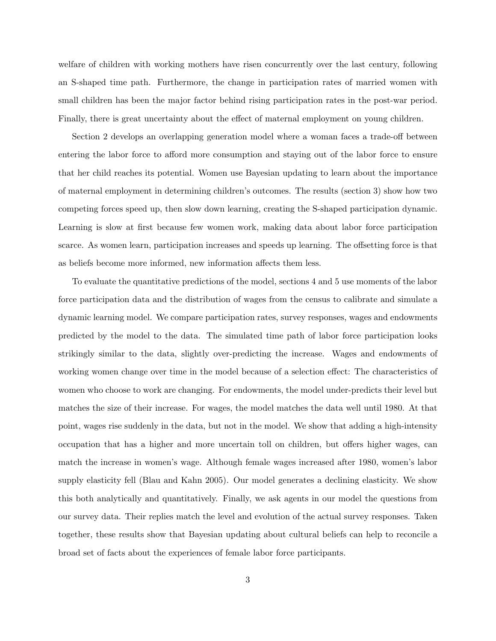welfare of children with working mothers have risen concurrently over the last century, following an S-shaped time path. Furthermore, the change in participation rates of married women with small children has been the major factor behind rising participation rates in the post-war period. Finally, there is great uncertainty about the effect of maternal employment on young children.

Section 2 develops an overlapping generation model where a woman faces a trade-off between entering the labor force to afford more consumption and staying out of the labor force to ensure that her child reaches its potential. Women use Bayesian updating to learn about the importance of maternal employment in determining children's outcomes. The results (section 3) show how two competing forces speed up, then slow down learning, creating the S-shaped participation dynamic. Learning is slow at first because few women work, making data about labor force participation scarce. As women learn, participation increases and speeds up learning. The offsetting force is that as beliefs become more informed, new information affects them less.

To evaluate the quantitative predictions of the model, sections 4 and 5 use moments of the labor force participation data and the distribution of wages from the census to calibrate and simulate a dynamic learning model. We compare participation rates, survey responses, wages and endowments predicted by the model to the data. The simulated time path of labor force participation looks strikingly similar to the data, slightly over-predicting the increase. Wages and endowments of working women change over time in the model because of a selection effect: The characteristics of women who choose to work are changing. For endowments, the model under-predicts their level but matches the size of their increase. For wages, the model matches the data well until 1980. At that point, wages rise suddenly in the data, but not in the model. We show that adding a high-intensity occupation that has a higher and more uncertain toll on children, but offers higher wages, can match the increase in women's wage. Although female wages increased after 1980, women's labor supply elasticity fell (Blau and Kahn 2005). Our model generates a declining elasticity. We show this both analytically and quantitatively. Finally, we ask agents in our model the questions from our survey data. Their replies match the level and evolution of the actual survey responses. Taken together, these results show that Bayesian updating about cultural beliefs can help to reconcile a broad set of facts about the experiences of female labor force participants.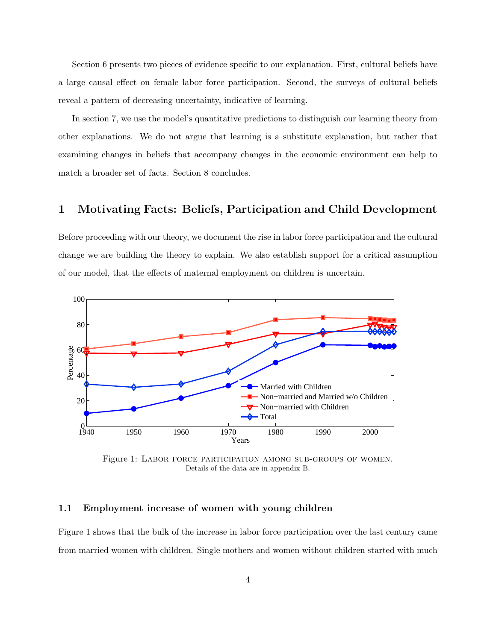Section 6 presents two pieces of evidence specific to our explanation. First, cultural beliefs have a large causal effect on female labor force participation. Second, the surveys of cultural beliefs reveal a pattern of decreasing uncertainty, indicative of learning.

In section 7, we use the model's quantitative predictions to distinguish our learning theory from other explanations. We do not argue that learning is a substitute explanation, but rather that examining changes in beliefs that accompany changes in the economic environment can help to match a broader set of facts. Section 8 concludes.

### 1 Motivating Facts: Beliefs, Participation and Child Development

Before proceeding with our theory, we document the rise in labor force participation and the cultural change we are building the theory to explain. We also establish support for a critical assumption of our model, that the effects of maternal employment on children is uncertain.



Figure 1: Labor force participation among sub-groups of women. Details of the data are in appendix B.

#### 1.1 Employment increase of women with young children

Figure 1 shows that the bulk of the increase in labor force participation over the last century came from married women with children. Single mothers and women without children started with much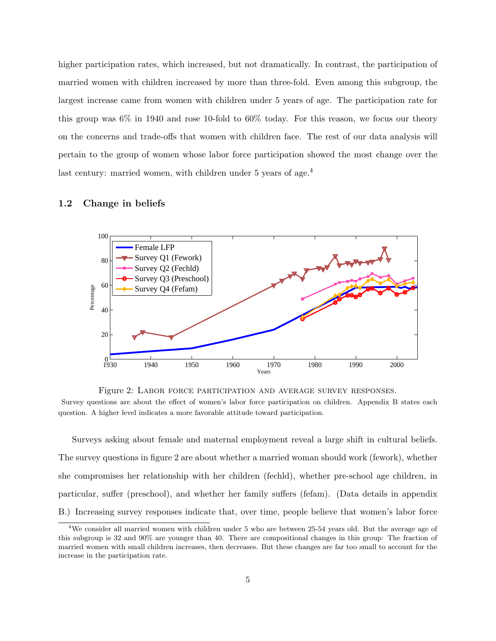higher participation rates, which increased, but not dramatically. In contrast, the participation of married women with children increased by more than three-fold. Even among this subgroup, the largest increase came from women with children under 5 years of age. The participation rate for this group was 6% in 1940 and rose 10-fold to 60% today. For this reason, we focus our theory on the concerns and trade-offs that women with children face. The rest of our data analysis will pertain to the group of women whose labor force participation showed the most change over the last century: married women, with children under 5 years of age.<sup>4</sup>

#### 1.2 Change in beliefs



Figure 2: Labor force participation and average survey responses.

Survey questions are about the effect of women's labor force participation on children. Appendix B states each question. A higher level indicates a more favorable attitude toward participation.

Surveys asking about female and maternal employment reveal a large shift in cultural beliefs. The survey questions in figure 2 are about whether a married woman should work (fework), whether she compromises her relationship with her children (fechld), whether pre-school age children, in particular, suffer (preschool), and whether her family suffers (fefam). (Data details in appendix B.) Increasing survey responses indicate that, over time, people believe that women's labor force

<sup>4</sup>We consider all married women with children under 5 who are between 25-54 years old. But the average age of this subgroup is 32 and 90% are younger than 40. There are compositional changes in this group: The fraction of married women with small children increases, then decreases. But these changes are far too small to account for the increase in the participation rate.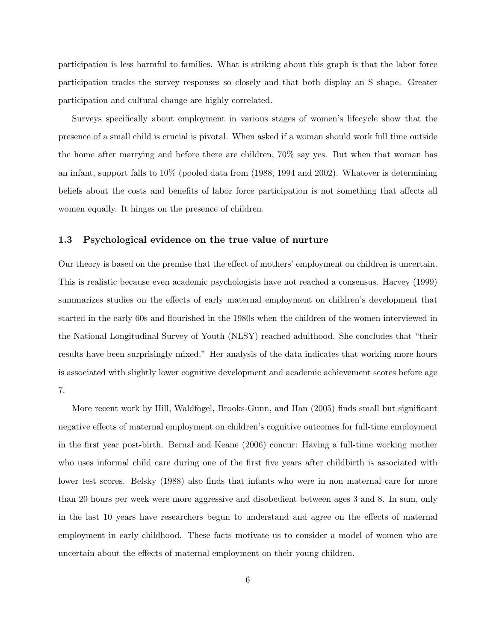participation is less harmful to families. What is striking about this graph is that the labor force participation tracks the survey responses so closely and that both display an S shape. Greater participation and cultural change are highly correlated.

Surveys specifically about employment in various stages of women's lifecycle show that the presence of a small child is crucial is pivotal. When asked if a woman should work full time outside the home after marrying and before there are children, 70% say yes. But when that woman has an infant, support falls to 10% (pooled data from (1988, 1994 and 2002). Whatever is determining beliefs about the costs and benefits of labor force participation is not something that affects all women equally. It hinges on the presence of children.

#### 1.3 Psychological evidence on the true value of nurture

Our theory is based on the premise that the effect of mothers' employment on children is uncertain. This is realistic because even academic psychologists have not reached a consensus. Harvey (1999) summarizes studies on the effects of early maternal employment on children's development that started in the early 60s and flourished in the 1980s when the children of the women interviewed in the National Longitudinal Survey of Youth (NLSY) reached adulthood. She concludes that "their results have been surprisingly mixed." Her analysis of the data indicates that working more hours is associated with slightly lower cognitive development and academic achievement scores before age 7.

More recent work by Hill, Waldfogel, Brooks-Gunn, and Han (2005) finds small but significant negative effects of maternal employment on children's cognitive outcomes for full-time employment in the first year post-birth. Bernal and Keane (2006) concur: Having a full-time working mother who uses informal child care during one of the first five years after childbirth is associated with lower test scores. Belsky (1988) also finds that infants who were in non maternal care for more than 20 hours per week were more aggressive and disobedient between ages 3 and 8. In sum, only in the last 10 years have researchers begun to understand and agree on the effects of maternal employment in early childhood. These facts motivate us to consider a model of women who are uncertain about the effects of maternal employment on their young children.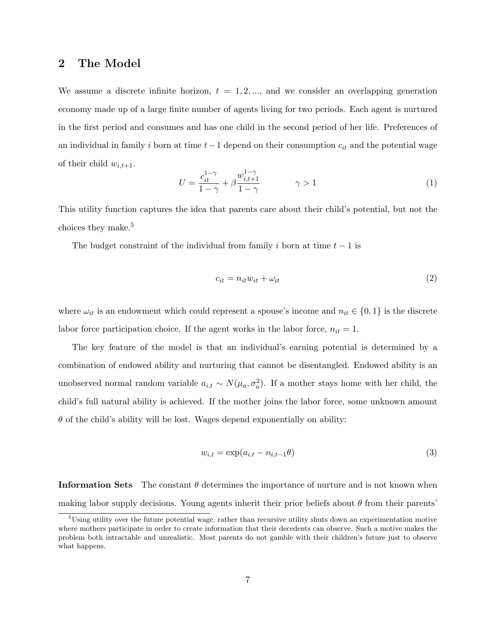### 2 The Model

We assume a discrete infinite horizon,  $t = 1, 2, \dots$ , and we consider an overlapping generation economy made up of a large finite number of agents living for two periods. Each agent is nurtured in the first period and consumes and has one child in the second period of her life. Preferences of an individual in family i born at time  $t-1$  depend on their consumption  $c_{it}$  and the potential wage of their child  $w_{i,t+1}$ .

$$
U = \frac{c_{it}^{1-\gamma}}{1-\gamma} + \beta \frac{w_{i,t+1}^{1-\gamma}}{1-\gamma} \qquad \gamma > 1
$$
 (1)

This utility function captures the idea that parents care about their child's potential, but not the choices they make.<sup>5</sup>

The budget constraint of the individual from family i born at time  $t-1$  is

$$
c_{it} = n_{it} w_{it} + \omega_{it} \tag{2}
$$

where  $\omega_{it}$  is an endowment which could represent a spouse's income and  $n_{it} \in \{0,1\}$  is the discrete labor force participation choice. If the agent works in the labor force,  $n_{it} = 1$ .

The key feature of the model is that an individual's earning potential is determined by a combination of endowed ability and nurturing that cannot be disentangled. Endowed ability is an unobserved normal random variable  $a_{i,t} \sim N(\mu_a, \sigma_a^2)$ . If a mother stays home with her child, the child's full natural ability is achieved. If the mother joins the labor force, some unknown amount  $\theta$  of the child's ability will be lost. Wages depend exponentially on ability:

$$
w_{i,t} = \exp(a_{i,t} - n_{i,t-1}\theta) \tag{3}
$$

**Information Sets** The constant  $\theta$  determines the importance of nurture and is not known when making labor supply decisions. Young agents inherit their prior beliefs about  $\theta$  from their parents'

 $5U\sin g$  utility over the future potential wage, rather than recursive utility shuts down an experimentation motive where mothers participate in order to create information that their decedents can observe. Such a motive makes the problem both intractable and unrealistic. Most parents do not gamble with their children's future just to observe what happens.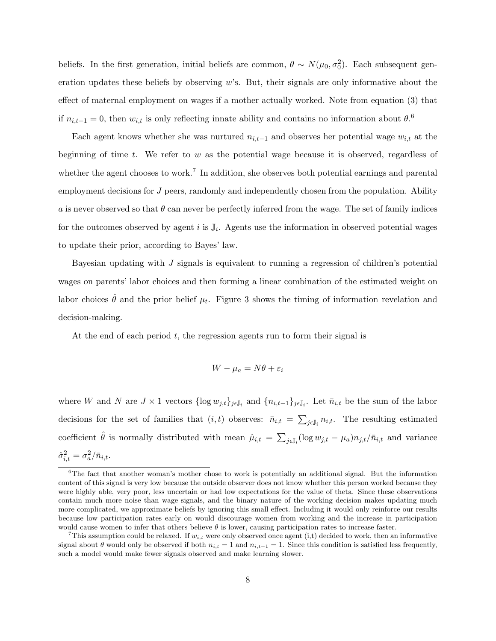beliefs. In the first generation, initial beliefs are common,  $\theta \sim N(\mu_0, \sigma_0^2)$ . Each subsequent generation updates these beliefs by observing  $w$ 's. But, their signals are only informative about the effect of maternal employment on wages if a mother actually worked. Note from equation (3) that if  $n_{i,t-1} = 0$ , then  $w_{i,t}$  is only reflecting innate ability and contains no information about  $\theta$ .<sup>6</sup>

Each agent knows whether she was nurtured  $n_{i,t-1}$  and observes her potential wage  $w_{i,t}$  at the beginning of time  $t$ . We refer to  $w$  as the potential wage because it is observed, regardless of whether the agent chooses to work.<sup>7</sup> In addition, she observes both potential earnings and parental employment decisions for J peers, randomly and independently chosen from the population. Ability a is never observed so that  $\theta$  can never be perfectly inferred from the wage. The set of family indices for the outcomes observed by agent i is  $\mathbb{J}_i$ . Agents use the information in observed potential wages to update their prior, according to Bayes' law.

Bayesian updating with J signals is equivalent to running a regression of children's potential wages on parents' labor choices and then forming a linear combination of the estimated weight on labor choices  $\hat{\theta}$  and the prior belief  $\mu_t$ . Figure 3 shows the timing of information revelation and decision-making.

At the end of each period  $t$ , the regression agents run to form their signal is

$$
W - \mu_a = N\theta + \varepsilon_i
$$

where W and N are  $J \times 1$  vectors  $\{\log w_{j,t}\}_{j\in\mathbb{J}_i}$  and  $\{n_{i,t-1}\}_{j\in\mathbb{J}_i}$ . Let  $\bar{n}_{i,t}$  be the sum of the labor decisions for the set of families that  $(i, t)$  observes:  $\bar{n}_{i,t}$  =  $\overline{ }$  $_{j\in\mathbb{J}_i} n_{i,t}$ . The resulting estimated coefficient  $\hat{\theta}$  is normally distributed with mean  $\hat{\mu}_{i,t} = \sum$  $_{j\epsilon \mathbb{J}_i}(\log w_{j,t} - \mu_a) n_{j,t}/\bar{n}_{i,t}$  and variance  $\hat{\sigma}_{i,t}^2 = \sigma_a^2/\bar{n}_{i,t}.$ 

<sup>&</sup>lt;sup>6</sup>The fact that another woman's mother chose to work is potentially an additional signal. But the information content of this signal is very low because the outside observer does not know whether this person worked because they were highly able, very poor, less uncertain or had low expectations for the value of theta. Since these observations contain much more noise than wage signals, and the binary nature of the working decision makes updating much more complicated, we approximate beliefs by ignoring this small effect. Including it would only reinforce our results because low participation rates early on would discourage women from working and the increase in participation would cause women to infer that others believe  $\theta$  is lower, causing participation rates to increase faster.

This assumption could be relaxed. If  $w_{i,t}$  were only observed once agent (i,t) decided to work, then an informative signal about  $\theta$  would only be observed if both  $n_{i,t} = 1$  and  $n_{i,t-1} = 1$ . Since this condition is satisfied less frequently, such a model would make fewer signals observed and make learning slower.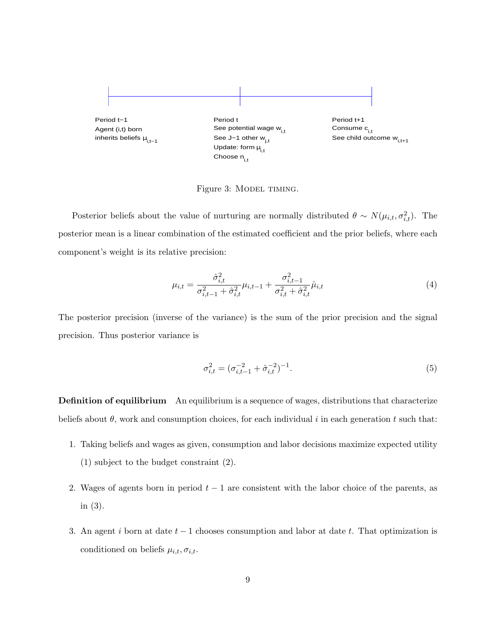

Figure 3: MODEL TIMING.

Posterior beliefs about the value of nurturing are normally distributed  $\theta \sim N(\mu_{i,t}, \sigma_{i,t}^2)$ . The posterior mean is a linear combination of the estimated coefficient and the prior beliefs, where each component's weight is its relative precision:

$$
\mu_{i,t} = \frac{\hat{\sigma}_{i,t}^2}{\sigma_{i,t-1}^2 + \hat{\sigma}_{i,t}^2} \mu_{i,t-1} + \frac{\sigma_{i,t-1}^2}{\sigma_{i,t}^2 + \hat{\sigma}_{i,t}^2} \hat{\mu}_{i,t}
$$
(4)

The posterior precision (inverse of the variance) is the sum of the prior precision and the signal precision. Thus posterior variance is

$$
\sigma_{i,t}^2 = (\sigma_{i,t-1}^{-2} + \hat{\sigma}_{i,t}^{-2})^{-1}.
$$
\n(5)

Definition of equilibrium An equilibrium is a sequence of wages, distributions that characterize beliefs about  $\theta$ , work and consumption choices, for each individual i in each generation t such that:

- 1. Taking beliefs and wages as given, consumption and labor decisions maximize expected utility (1) subject to the budget constraint (2).
- 2. Wages of agents born in period  $t-1$  are consistent with the labor choice of the parents, as in (3).
- 3. An agent i born at date  $t-1$  chooses consumption and labor at date t. That optimization is conditioned on beliefs  $\mu_{i,t}, \sigma_{i,t}$ .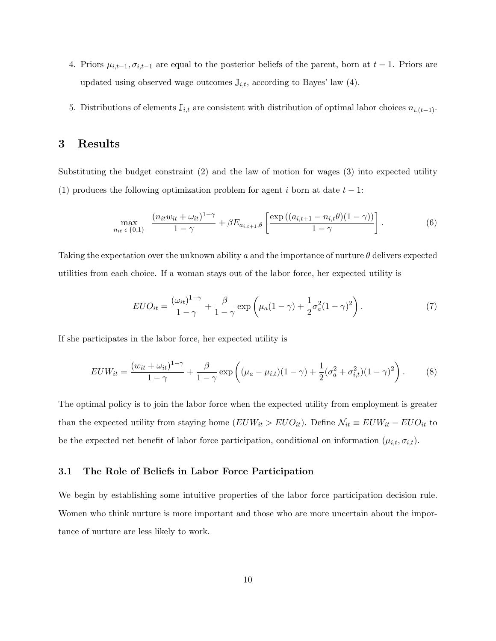- 4. Priors  $\mu_{i,t-1}, \sigma_{i,t-1}$  are equal to the posterior beliefs of the parent, born at  $t-1$ . Priors are updated using observed wage outcomes  $\mathbb{J}_{i,t}$ , according to Bayes' law (4).
- 5. Distributions of elements  $\mathbb{J}_{i,t}$  are consistent with distribution of optimal labor choices  $n_{i,(t-1)}$ .

# 3 Results

Substituting the budget constraint  $(2)$  and the law of motion for wages  $(3)$  into expected utility (1) produces the following optimization problem for agent i born at date  $t - 1$ :

$$
\max_{n_{it} \in \{0,1\}} \frac{(n_{it}w_{it} + \omega_{it})^{1-\gamma}}{1-\gamma} + \beta E_{a_{i,t+1},\theta} \left[ \frac{\exp((a_{i,t+1} - n_{i,t}\theta)(1-\gamma))}{1-\gamma} \right].
$$
 (6)

Taking the expectation over the unknown ability a and the importance of nurture  $\theta$  delivers expected utilities from each choice. If a woman stays out of the labor force, her expected utility is

$$
EUO_{it} = \frac{(\omega_{it})^{1-\gamma}}{1-\gamma} + \frac{\beta}{1-\gamma} \exp\left(\mu_a (1-\gamma) + \frac{1}{2}\sigma_a^2 (1-\gamma)^2\right).
$$
 (7)

If she participates in the labor force, her expected utility is

$$
EUW_{it} = \frac{(w_{it} + \omega_{it})^{1-\gamma}}{1-\gamma} + \frac{\beta}{1-\gamma} \exp\left((\mu_a - \mu_{i,t})(1-\gamma) + \frac{1}{2}(\sigma_a^2 + \sigma_{i,t}^2)(1-\gamma)^2\right).
$$
 (8)

The optimal policy is to join the labor force when the expected utility from employment is greater than the expected utility from staying home  $(EUW_{it} > EUO_{it})$ . Define  $\mathcal{N}_{it} \equiv EUW_{it} - EUO_{it}$  to be the expected net benefit of labor force participation, conditional on information  $(\mu_{i,t}, \sigma_{i,t})$ .

### 3.1 The Role of Beliefs in Labor Force Participation

We begin by establishing some intuitive properties of the labor force participation decision rule. Women who think nurture is more important and those who are more uncertain about the importance of nurture are less likely to work.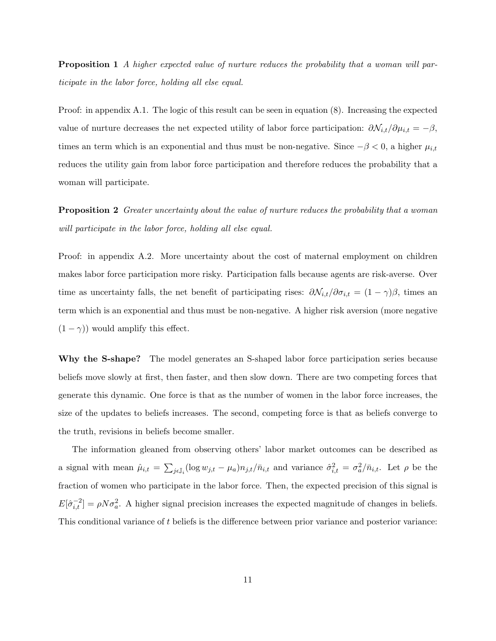**Proposition 1** A higher expected value of nurture reduces the probability that a woman will participate in the labor force, holding all else equal.

Proof: in appendix A.1. The logic of this result can be seen in equation (8). Increasing the expected value of nurture decreases the net expected utility of labor force participation:  $\partial \mathcal{N}_{i,t}/\partial \mu_{i,t} = -\beta$ , times an term which is an exponential and thus must be non-negative. Since  $-\beta < 0$ , a higher  $\mu_{i,t}$ reduces the utility gain from labor force participation and therefore reduces the probability that a woman will participate.

**Proposition 2** Greater uncertainty about the value of nurture reduces the probability that a woman will participate in the labor force, holding all else equal.

Proof: in appendix A.2. More uncertainty about the cost of maternal employment on children makes labor force participation more risky. Participation falls because agents are risk-averse. Over time as uncertainty falls, the net benefit of participating rises:  $\partial \mathcal{N}_{i,t}/\partial \sigma_{i,t} = (1 - \gamma)\beta$ , times an term which is an exponential and thus must be non-negative. A higher risk aversion (more negative  $(1 - \gamma)$ ) would amplify this effect.

Why the S-shape? The model generates an S-shaped labor force participation series because beliefs move slowly at first, then faster, and then slow down. There are two competing forces that generate this dynamic. One force is that as the number of women in the labor force increases, the size of the updates to beliefs increases. The second, competing force is that as beliefs converge to the truth, revisions in beliefs become smaller.

The information gleaned from observing others' labor market outcomes can be described as a signal with mean  $\hat{\mu}_{i,t} =$  $\overline{ }$  $j_{i,j}(\log w_{j,t} - \mu_a) n_{j,t}/\bar{n}_{i,t}$  and variance  $\hat{\sigma}_{i,t}^2 = \sigma_a^2/\bar{n}_{i,t}$ . Let  $\rho$  be the fraction of women who participate in the labor force. Then, the expected precision of this signal is  $E[\hat{\sigma}_{i,t}^{-2}] = \rho N \sigma_a^2$ . A higher signal precision increases the expected magnitude of changes in beliefs. This conditional variance of t beliefs is the difference between prior variance and posterior variance: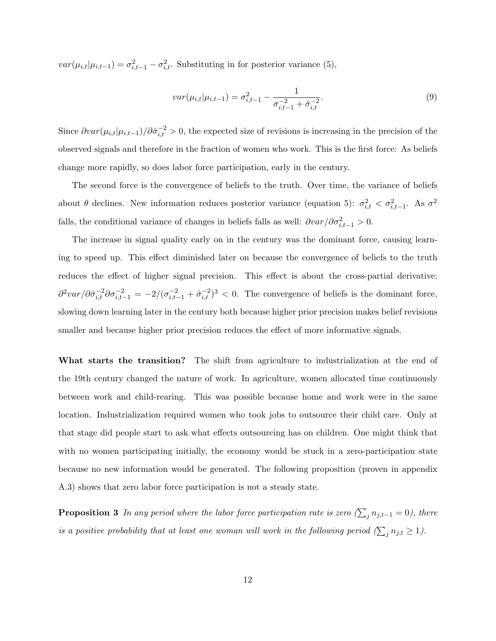$var(\mu_{i,t}|\mu_{i,t-1}) = \sigma_{i,t-1}^2 - \sigma_{i,t}^2$ . Substituting in for posterior variance (5),

$$
var(\mu_{i,t}|\mu_{i,t-1}) = \sigma_{i,t-1}^2 - \frac{1}{\sigma_{i,t-1}^{-2} + \hat{\sigma}_{i,t}^{-2}}.
$$
\n(9)

Since  $\partial var(\mu_{i,t}|\mu_{i,t-1})/\partial \hat{\sigma}_{i,t}^{-2} > 0$ , the expected size of revisions is increasing in the precision of the observed signals and therefore in the fraction of women who work. This is the first force: As beliefs change more rapidly, so does labor force participation, early in the century.

The second force is the convergence of beliefs to the truth. Over time, the variance of beliefs about  $\theta$  declines. New information reduces posterior variance (equation 5):  $\sigma_{i,t}^2 < \sigma_{i,t-1}^2$ . As  $\sigma^2$ falls, the conditional variance of changes in beliefs falls as well:  $\partial var/\partial \sigma_{i,t-1}^2 > 0$ .

The increase in signal quality early on in the century was the dominant force, causing learning to speed up. This effect diminished later on because the convergence of beliefs to the truth reduces the effect of higher signal precision. This effect is about the cross-partial derivative:  $\partial^2 var/\partial \hat{\sigma}_{i,t}^{-2} \partial \sigma_{i,t-1}^{-2} = -2/(\sigma_{i,t-1}^{-2} + \hat{\sigma}_{i,t}^{-2})^3 < 0$ . The convergence of beliefs is the dominant force, slowing down learning later in the century both because higher prior precision makes belief revisions smaller and because higher prior precision reduces the effect of more informative signals.

What starts the transition? The shift from agriculture to industrialization at the end of the 19th century changed the nature of work. In agriculture, women allocated time continuously between work and child-rearing. This was possible because home and work were in the same location. Industrialization required women who took jobs to outsource their child care. Only at that stage did people start to ask what effects outsourcing has on children. One might think that with no women participating initially, the economy would be stuck in a zero-participation state because no new information would be generated. The following proposition (proven in appendix A.3) shows that zero labor force participation is not a steady state.

**Proposition 3** In any period where the labor force participation rate is zero ( $\sum_j n_{j,t-1} = 0$ ), there is a positive probability that at least one woman will work in the following period  $(\sum_j n_{j,t} \geq 1)$ .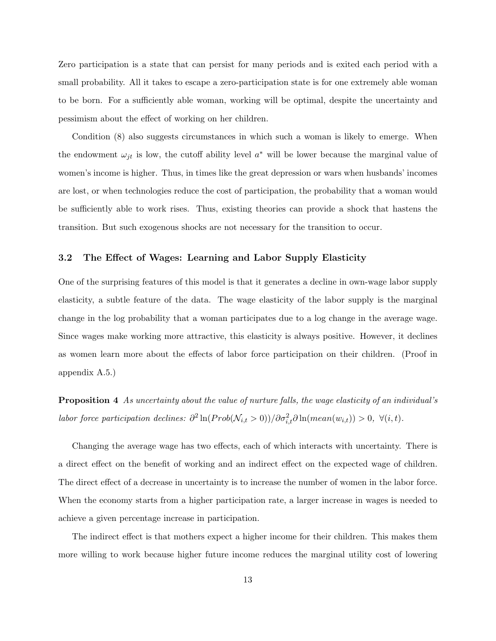Zero participation is a state that can persist for many periods and is exited each period with a small probability. All it takes to escape a zero-participation state is for one extremely able woman to be born. For a sufficiently able woman, working will be optimal, despite the uncertainty and pessimism about the effect of working on her children.

Condition (8) also suggests circumstances in which such a woman is likely to emerge. When the endowment  $\omega_{jt}$  is low, the cutoff ability level  $a^*$  will be lower because the marginal value of women's income is higher. Thus, in times like the great depression or wars when husbands' incomes are lost, or when technologies reduce the cost of participation, the probability that a woman would be sufficiently able to work rises. Thus, existing theories can provide a shock that hastens the transition. But such exogenous shocks are not necessary for the transition to occur.

#### 3.2 The Effect of Wages: Learning and Labor Supply Elasticity

One of the surprising features of this model is that it generates a decline in own-wage labor supply elasticity, a subtle feature of the data. The wage elasticity of the labor supply is the marginal change in the log probability that a woman participates due to a log change in the average wage. Since wages make working more attractive, this elasticity is always positive. However, it declines as women learn more about the effects of labor force participation on their children. (Proof in appendix A.5.)

Proposition 4 As uncertainty about the value of nurture falls, the wage elasticity of an individual's labor force participation declines:  $\partial^2 \ln(Prob(\mathcal{N}_{i,t} > 0))/\partial \sigma_{i,t}^2 \partial \ln(mean(w_{i,t})) > 0, \ \forall (i,t)$ .

Changing the average wage has two effects, each of which interacts with uncertainty. There is a direct effect on the benefit of working and an indirect effect on the expected wage of children. The direct effect of a decrease in uncertainty is to increase the number of women in the labor force. When the economy starts from a higher participation rate, a larger increase in wages is needed to achieve a given percentage increase in participation.

The indirect effect is that mothers expect a higher income for their children. This makes them more willing to work because higher future income reduces the marginal utility cost of lowering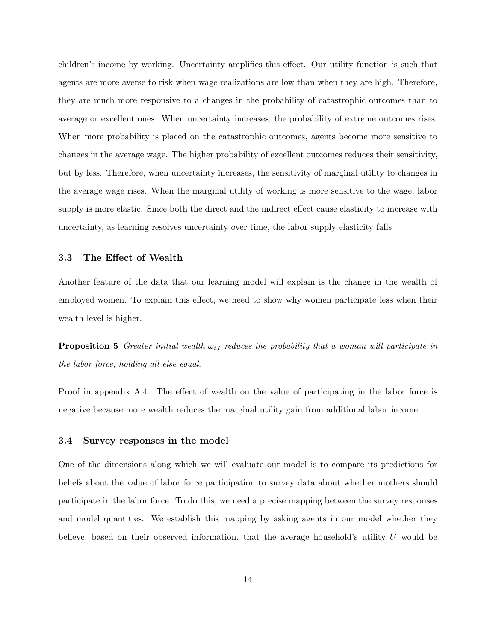children's income by working. Uncertainty amplifies this effect. Our utility function is such that agents are more averse to risk when wage realizations are low than when they are high. Therefore, they are much more responsive to a changes in the probability of catastrophic outcomes than to average or excellent ones. When uncertainty increases, the probability of extreme outcomes rises. When more probability is placed on the catastrophic outcomes, agents become more sensitive to changes in the average wage. The higher probability of excellent outcomes reduces their sensitivity, but by less. Therefore, when uncertainty increases, the sensitivity of marginal utility to changes in the average wage rises. When the marginal utility of working is more sensitive to the wage, labor supply is more elastic. Since both the direct and the indirect effect cause elasticity to increase with uncertainty, as learning resolves uncertainty over time, the labor supply elasticity falls.

#### 3.3 The Effect of Wealth

Another feature of the data that our learning model will explain is the change in the wealth of employed women. To explain this effect, we need to show why women participate less when their wealth level is higher.

**Proposition 5** Greater initial wealth  $\omega_{i,t}$  reduces the probability that a woman will participate in the labor force, holding all else equal.

Proof in appendix A.4. The effect of wealth on the value of participating in the labor force is negative because more wealth reduces the marginal utility gain from additional labor income.

#### 3.4 Survey responses in the model

One of the dimensions along which we will evaluate our model is to compare its predictions for beliefs about the value of labor force participation to survey data about whether mothers should participate in the labor force. To do this, we need a precise mapping between the survey responses and model quantities. We establish this mapping by asking agents in our model whether they believe, based on their observed information, that the average household's utility  $U$  would be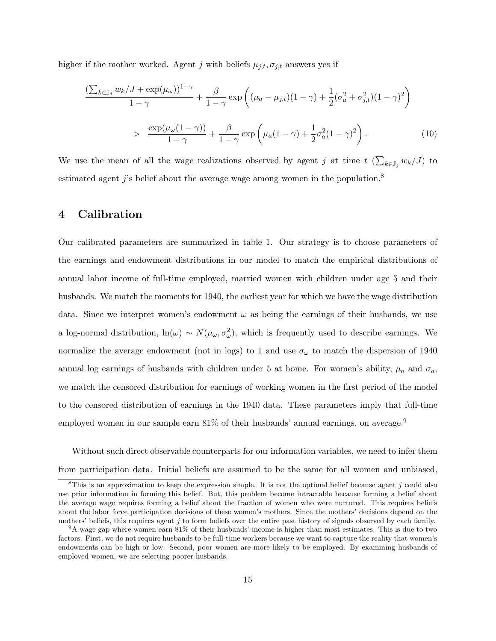higher if the mother worked. Agent j with beliefs  $\mu_{j,t}, \sigma_{j,t}$  answers yes if

$$
\frac{\left(\sum_{k\in\mathbb{J}_j} w_k/J + \exp(\mu_\omega)\right)^{1-\gamma}}{1-\gamma} + \frac{\beta}{1-\gamma} \exp\left((\mu_a - \mu_{j,t})(1-\gamma) + \frac{1}{2}(\sigma_a^2 + \sigma_{j,t}^2)(1-\gamma)^2\right)
$$

$$
> \frac{\exp(\mu_\omega(1-\gamma))}{1-\gamma} + \frac{\beta}{1-\gamma} \exp\left(\mu_a(1-\gamma) + \frac{1}{2}\sigma_a^2(1-\gamma)^2\right). \tag{10}
$$

We use the mean of all the wage realizations observed by agent  $j$  at time  $t$  (  $\overline{ }$  $_{k\in\mathbb{J}_{j}}\,w_{k}/J)$  to estimated agent j's belief about the average wage among women in the population.<sup>8</sup>

# 4 Calibration

Our calibrated parameters are summarized in table 1. Our strategy is to choose parameters of the earnings and endowment distributions in our model to match the empirical distributions of annual labor income of full-time employed, married women with children under age 5 and their husbands. We match the moments for 1940, the earliest year for which we have the wage distribution data. Since we interpret women's endowment  $\omega$  as being the earnings of their husbands, we use a log-normal distribution,  $\ln(\omega) \sim N(\mu_{\omega}, \sigma_{\omega}^2)$ , which is frequently used to describe earnings. We normalize the average endowment (not in logs) to 1 and use  $\sigma_{\omega}$  to match the dispersion of 1940 annual log earnings of husbands with children under 5 at home. For women's ability,  $\mu_a$  and  $\sigma_a$ , we match the censored distribution for earnings of working women in the first period of the model to the censored distribution of earnings in the 1940 data. These parameters imply that full-time employed women in our sample earn  $81\%$  of their husbands' annual earnings, on average.<sup>9</sup>

Without such direct observable counterparts for our information variables, we need to infer them from participation data. Initial beliefs are assumed to be the same for all women and unbiased,

<sup>&</sup>lt;sup>8</sup>This is an approximation to keep the expression simple. It is not the optimal belief because agent j could also use prior information in forming this belief. But, this problem become intractable because forming a belief about the average wage requires forming a belief about the fraction of women who were nurtured. This requires beliefs about the labor force participation decisions of these women's mothers. Since the mothers' decisions depend on the mothers' beliefs, this requires agent  $j$  to form beliefs over the entire past history of signals observed by each family.

<sup>9</sup>A wage gap where women earn 81% of their husbands' income is higher than most estimates. This is due to two factors. First, we do not require husbands to be full-time workers because we want to capture the reality that women's endowments can be high or low. Second, poor women are more likely to be employed. By examining husbands of employed women, we are selecting poorer husbands.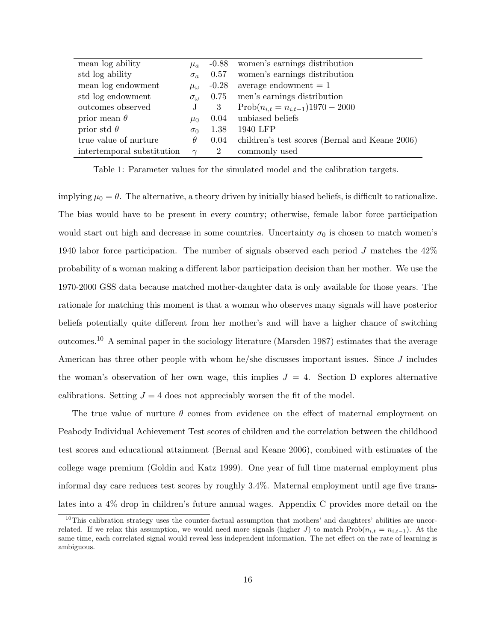| mean log ability           | $\mu_a$           | $-0.88$        | women's earnings distribution                  |
|----------------------------|-------------------|----------------|------------------------------------------------|
| std log ability            | $\sigma_a$        | 0.57           | women's earnings distribution                  |
| mean log endowment         | $\mu_{\omega}$    | $-0.28$        | average endowment $= 1$                        |
| std log endowment          | $\sigma_{\omega}$ | 0.75           | men's earnings distribution                    |
| outcomes observed          | $\mathbf{J}$      | 3              | $Prob(n_{i,t} = n_{i,t-1})1970 - 2000$         |
| prior mean $\theta$        | $\mu_0$           | 0.04           | unbiased beliefs                               |
| prior std $\theta$         | $\sigma_0$        | 1.38           | 1940 LFP                                       |
| true value of nurture      | $\theta$          | 0.04           | children's test scores (Bernal and Keane 2006) |
| intertemporal substitution | $\gamma$          | $\overline{2}$ | commonly used                                  |

Table 1: Parameter values for the simulated model and the calibration targets.

implying  $\mu_0 = \theta$ . The alternative, a theory driven by initially biased beliefs, is difficult to rationalize. The bias would have to be present in every country; otherwise, female labor force participation would start out high and decrease in some countries. Uncertainty  $\sigma_0$  is chosen to match women's 1940 labor force participation. The number of signals observed each period J matches the 42% probability of a woman making a different labor participation decision than her mother. We use the 1970-2000 GSS data because matched mother-daughter data is only available for those years. The rationale for matching this moment is that a woman who observes many signals will have posterior beliefs potentially quite different from her mother's and will have a higher chance of switching outcomes.<sup>10</sup> A seminal paper in the sociology literature (Marsden 1987) estimates that the average American has three other people with whom he/she discusses important issues. Since J includes the woman's observation of her own wage, this implies  $J = 4$ . Section D explores alternative calibrations. Setting  $J = 4$  does not appreciably worsen the fit of the model.

The true value of nurture  $\theta$  comes from evidence on the effect of maternal employment on Peabody Individual Achievement Test scores of children and the correlation between the childhood test scores and educational attainment (Bernal and Keane 2006), combined with estimates of the college wage premium (Goldin and Katz 1999). One year of full time maternal employment plus informal day care reduces test scores by roughly 3.4%. Maternal employment until age five translates into a 4% drop in children's future annual wages. Appendix C provides more detail on the

 $10$ This calibration strategy uses the counter-factual assumption that mothers' and daughters' abilities are uncorrelated. If we relax this assumption, we would need more signals (higher J) to match Prob $(n_{i,t} = n_{i,t-1})$ . At the same time, each correlated signal would reveal less independent information. The net effect on the rate of learning is ambiguous.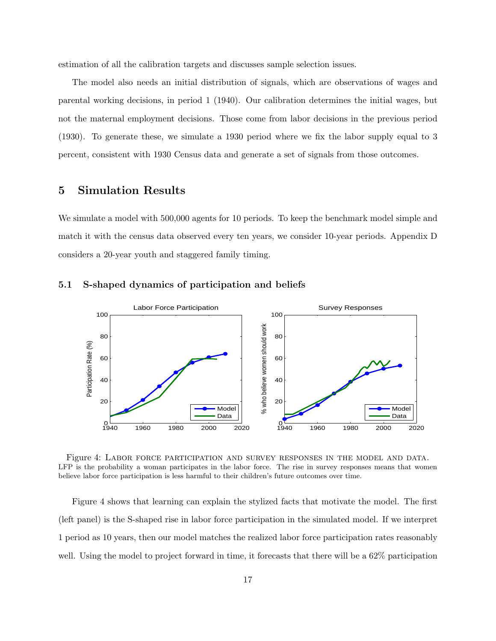estimation of all the calibration targets and discusses sample selection issues.

The model also needs an initial distribution of signals, which are observations of wages and parental working decisions, in period 1 (1940). Our calibration determines the initial wages, but not the maternal employment decisions. Those come from labor decisions in the previous period (1930). To generate these, we simulate a 1930 period where we fix the labor supply equal to 3 percent, consistent with 1930 Census data and generate a set of signals from those outcomes.

### 5 Simulation Results

We simulate a model with 500,000 agents for 10 periods. To keep the benchmark model simple and match it with the census data observed every ten years, we consider 10-year periods. Appendix D considers a 20-year youth and staggered family timing.



#### 5.1 S-shaped dynamics of participation and beliefs

Figure 4: Labor force participation and survey responses in the model and data. LFP is the probability a woman participates in the labor force. The rise in survey responses means that women believe labor force participation is less harmful to their children's future outcomes over time.

Figure 4 shows that learning can explain the stylized facts that motivate the model. The first (left panel) is the S-shaped rise in labor force participation in the simulated model. If we interpret 1 period as 10 years, then our model matches the realized labor force participation rates reasonably well. Using the model to project forward in time, it forecasts that there will be a 62% participation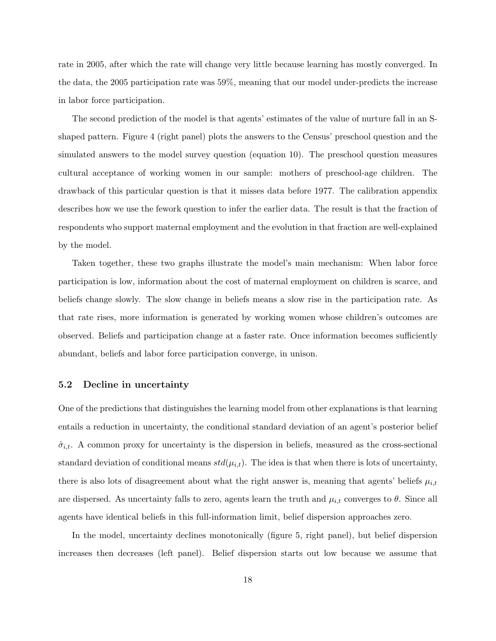rate in 2005, after which the rate will change very little because learning has mostly converged. In the data, the 2005 participation rate was 59%, meaning that our model under-predicts the increase in labor force participation.

The second prediction of the model is that agents' estimates of the value of nurture fall in an Sshaped pattern. Figure 4 (right panel) plots the answers to the Census' preschool question and the simulated answers to the model survey question (equation 10). The preschool question measures cultural acceptance of working women in our sample: mothers of preschool-age children. The drawback of this particular question is that it misses data before 1977. The calibration appendix describes how we use the fework question to infer the earlier data. The result is that the fraction of respondents who support maternal employment and the evolution in that fraction are well-explained by the model.

Taken together, these two graphs illustrate the model's main mechanism: When labor force participation is low, information about the cost of maternal employment on children is scarce, and beliefs change slowly. The slow change in beliefs means a slow rise in the participation rate. As that rate rises, more information is generated by working women whose children's outcomes are observed. Beliefs and participation change at a faster rate. Once information becomes sufficiently abundant, beliefs and labor force participation converge, in unison.

#### 5.2 Decline in uncertainty

One of the predictions that distinguishes the learning model from other explanations is that learning entails a reduction in uncertainty, the conditional standard deviation of an agent's posterior belief  $\hat{\sigma}_{i,t}$ . A common proxy for uncertainty is the dispersion in beliefs, measured as the cross-sectional standard deviation of conditional means  $std(\mu_{i,t})$ . The idea is that when there is lots of uncertainty, there is also lots of disagreement about what the right answer is, meaning that agents' beliefs  $\mu_{i,t}$ are dispersed. As uncertainty falls to zero, agents learn the truth and  $\mu_{i,t}$  converges to  $\theta$ . Since all agents have identical beliefs in this full-information limit, belief dispersion approaches zero.

In the model, uncertainty declines monotonically (figure 5, right panel), but belief dispersion increases then decreases (left panel). Belief dispersion starts out low because we assume that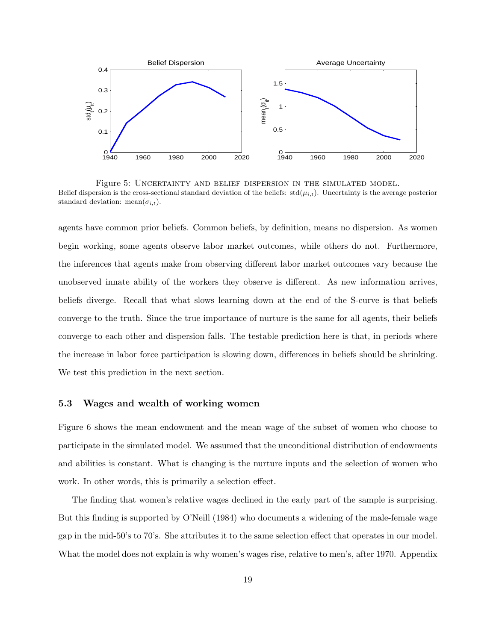

Figure 5: Uncertainty and belief dispersion in the simulated model. Belief dispersion is the cross-sectional standard deviation of the beliefs:  $std(\mu_{i,t})$ . Uncertainty is the average posterior standard deviation: mean( $\sigma_{i,t}$ ).

agents have common prior beliefs. Common beliefs, by definition, means no dispersion. As women begin working, some agents observe labor market outcomes, while others do not. Furthermore, the inferences that agents make from observing different labor market outcomes vary because the unobserved innate ability of the workers they observe is different. As new information arrives, beliefs diverge. Recall that what slows learning down at the end of the S-curve is that beliefs converge to the truth. Since the true importance of nurture is the same for all agents, their beliefs converge to each other and dispersion falls. The testable prediction here is that, in periods where the increase in labor force participation is slowing down, differences in beliefs should be shrinking. We test this prediction in the next section.

#### 5.3 Wages and wealth of working women

Figure 6 shows the mean endowment and the mean wage of the subset of women who choose to participate in the simulated model. We assumed that the unconditional distribution of endowments and abilities is constant. What is changing is the nurture inputs and the selection of women who work. In other words, this is primarily a selection effect.

The finding that women's relative wages declined in the early part of the sample is surprising. But this finding is supported by O'Neill (1984) who documents a widening of the male-female wage gap in the mid-50's to 70's. She attributes it to the same selection effect that operates in our model. What the model does not explain is why women's wages rise, relative to men's, after 1970. Appendix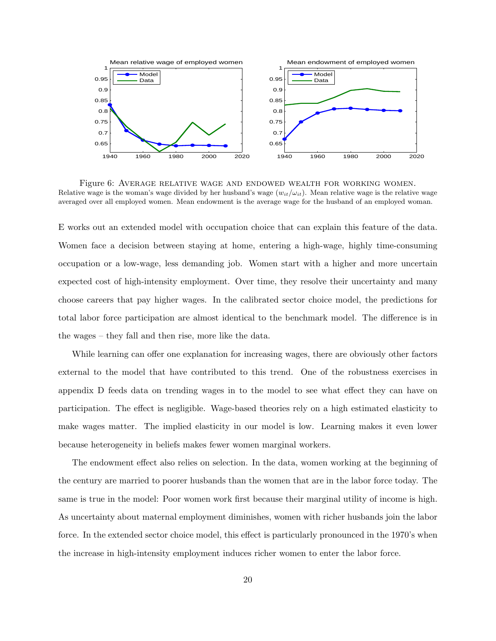

Figure 6: Average relative wage and endowed wealth for working women. Relative wage is the woman's wage divided by her husband's wage  $(w_{it}/\omega_{it})$ . Mean relative wage is the relative wage averaged over all employed women. Mean endowment is the average wage for the husband of an employed woman.

E works out an extended model with occupation choice that can explain this feature of the data. Women face a decision between staying at home, entering a high-wage, highly time-consuming occupation or a low-wage, less demanding job. Women start with a higher and more uncertain expected cost of high-intensity employment. Over time, they resolve their uncertainty and many choose careers that pay higher wages. In the calibrated sector choice model, the predictions for total labor force participation are almost identical to the benchmark model. The difference is in the wages – they fall and then rise, more like the data.

While learning can offer one explanation for increasing wages, there are obviously other factors external to the model that have contributed to this trend. One of the robustness exercises in appendix D feeds data on trending wages in to the model to see what effect they can have on participation. The effect is negligible. Wage-based theories rely on a high estimated elasticity to make wages matter. The implied elasticity in our model is low. Learning makes it even lower because heterogeneity in beliefs makes fewer women marginal workers.

The endowment effect also relies on selection. In the data, women working at the beginning of the century are married to poorer husbands than the women that are in the labor force today. The same is true in the model: Poor women work first because their marginal utility of income is high. As uncertainty about maternal employment diminishes, women with richer husbands join the labor force. In the extended sector choice model, this effect is particularly pronounced in the 1970's when the increase in high-intensity employment induces richer women to enter the labor force.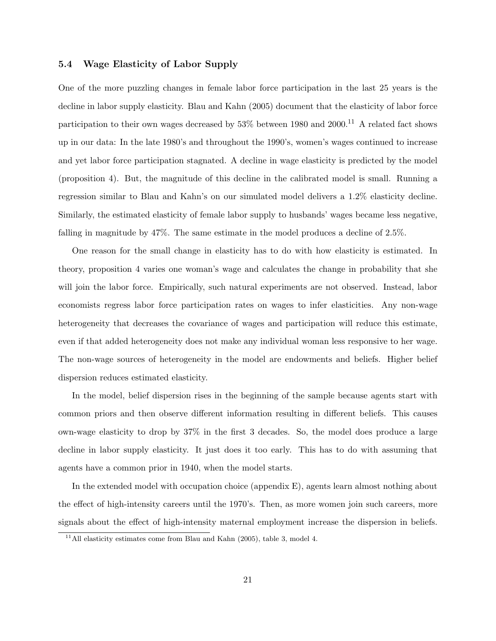#### 5.4 Wage Elasticity of Labor Supply

One of the more puzzling changes in female labor force participation in the last 25 years is the decline in labor supply elasticity. Blau and Kahn (2005) document that the elasticity of labor force participation to their own wages decreased by  $53\%$  between 1980 and  $2000$ .<sup>11</sup> A related fact shows up in our data: In the late 1980's and throughout the 1990's, women's wages continued to increase and yet labor force participation stagnated. A decline in wage elasticity is predicted by the model (proposition 4). But, the magnitude of this decline in the calibrated model is small. Running a regression similar to Blau and Kahn's on our simulated model delivers a 1.2% elasticity decline. Similarly, the estimated elasticity of female labor supply to husbands' wages became less negative, falling in magnitude by 47%. The same estimate in the model produces a decline of 2.5%.

One reason for the small change in elasticity has to do with how elasticity is estimated. In theory, proposition 4 varies one woman's wage and calculates the change in probability that she will join the labor force. Empirically, such natural experiments are not observed. Instead, labor economists regress labor force participation rates on wages to infer elasticities. Any non-wage heterogeneity that decreases the covariance of wages and participation will reduce this estimate, even if that added heterogeneity does not make any individual woman less responsive to her wage. The non-wage sources of heterogeneity in the model are endowments and beliefs. Higher belief dispersion reduces estimated elasticity.

In the model, belief dispersion rises in the beginning of the sample because agents start with common priors and then observe different information resulting in different beliefs. This causes own-wage elasticity to drop by 37% in the first 3 decades. So, the model does produce a large decline in labor supply elasticity. It just does it too early. This has to do with assuming that agents have a common prior in 1940, when the model starts.

In the extended model with occupation choice (appendix E), agents learn almost nothing about the effect of high-intensity careers until the 1970's. Then, as more women join such careers, more signals about the effect of high-intensity maternal employment increase the dispersion in beliefs.

 $11$ All elasticity estimates come from Blau and Kahn (2005), table 3, model 4.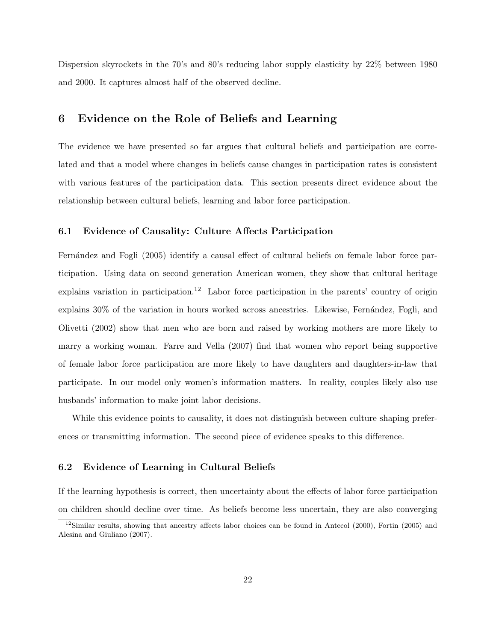Dispersion skyrockets in the 70's and 80's reducing labor supply elasticity by 22% between 1980 and 2000. It captures almost half of the observed decline.

### 6 Evidence on the Role of Beliefs and Learning

The evidence we have presented so far argues that cultural beliefs and participation are correlated and that a model where changes in beliefs cause changes in participation rates is consistent with various features of the participation data. This section presents direct evidence about the relationship between cultural beliefs, learning and labor force participation.

#### 6.1 Evidence of Causality: Culture Affects Participation

Fernández and Fogli (2005) identify a causal effect of cultural beliefs on female labor force participation. Using data on second generation American women, they show that cultural heritage explains variation in participation.<sup>12</sup> Labor force participation in the parents' country of origin explains 30% of the variation in hours worked across ancestries. Likewise, Fernández, Fogli, and Olivetti (2002) show that men who are born and raised by working mothers are more likely to marry a working woman. Farre and Vella (2007) find that women who report being supportive of female labor force participation are more likely to have daughters and daughters-in-law that participate. In our model only women's information matters. In reality, couples likely also use husbands' information to make joint labor decisions.

While this evidence points to causality, it does not distinguish between culture shaping preferences or transmitting information. The second piece of evidence speaks to this difference.

#### 6.2 Evidence of Learning in Cultural Beliefs

If the learning hypothesis is correct, then uncertainty about the effects of labor force participation on children should decline over time. As beliefs become less uncertain, they are also converging

<sup>&</sup>lt;sup>12</sup>Similar results, showing that ancestry affects labor choices can be found in Antecol (2000), Fortin (2005) and Alesina and Giuliano (2007).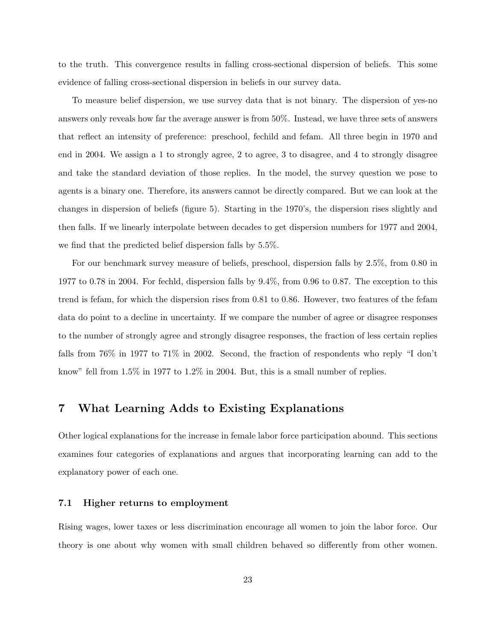to the truth. This convergence results in falling cross-sectional dispersion of beliefs. This some evidence of falling cross-sectional dispersion in beliefs in our survey data.

To measure belief dispersion, we use survey data that is not binary. The dispersion of yes-no answers only reveals how far the average answer is from 50%. Instead, we have three sets of answers that reflect an intensity of preference: preschool, fechild and fefam. All three begin in 1970 and end in 2004. We assign a 1 to strongly agree, 2 to agree, 3 to disagree, and 4 to strongly disagree and take the standard deviation of those replies. In the model, the survey question we pose to agents is a binary one. Therefore, its answers cannot be directly compared. But we can look at the changes in dispersion of beliefs (figure 5). Starting in the 1970's, the dispersion rises slightly and then falls. If we linearly interpolate between decades to get dispersion numbers for 1977 and 2004, we find that the predicted belief dispersion falls by 5.5%.

For our benchmark survey measure of beliefs, preschool, dispersion falls by 2.5%, from 0.80 in 1977 to 0.78 in 2004. For fechld, dispersion falls by 9.4%, from 0.96 to 0.87. The exception to this trend is fefam, for which the dispersion rises from 0.81 to 0.86. However, two features of the fefam data do point to a decline in uncertainty. If we compare the number of agree or disagree responses to the number of strongly agree and strongly disagree responses, the fraction of less certain replies falls from 76% in 1977 to 71% in 2002. Second, the fraction of respondents who reply "I don't know" fell from 1.5% in 1977 to 1.2% in 2004. But, this is a small number of replies.

### 7 What Learning Adds to Existing Explanations

Other logical explanations for the increase in female labor force participation abound. This sections examines four categories of explanations and argues that incorporating learning can add to the explanatory power of each one.

#### 7.1 Higher returns to employment

Rising wages, lower taxes or less discrimination encourage all women to join the labor force. Our theory is one about why women with small children behaved so differently from other women.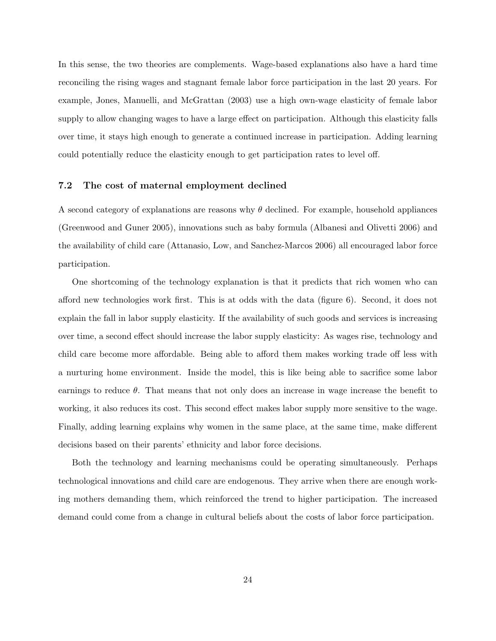In this sense, the two theories are complements. Wage-based explanations also have a hard time reconciling the rising wages and stagnant female labor force participation in the last 20 years. For example, Jones, Manuelli, and McGrattan (2003) use a high own-wage elasticity of female labor supply to allow changing wages to have a large effect on participation. Although this elasticity falls over time, it stays high enough to generate a continued increase in participation. Adding learning could potentially reduce the elasticity enough to get participation rates to level off.

#### 7.2 The cost of maternal employment declined

A second category of explanations are reasons why  $\theta$  declined. For example, household appliances (Greenwood and Guner 2005), innovations such as baby formula (Albanesi and Olivetti 2006) and the availability of child care (Attanasio, Low, and Sanchez-Marcos 2006) all encouraged labor force participation.

One shortcoming of the technology explanation is that it predicts that rich women who can afford new technologies work first. This is at odds with the data (figure 6). Second, it does not explain the fall in labor supply elasticity. If the availability of such goods and services is increasing over time, a second effect should increase the labor supply elasticity: As wages rise, technology and child care become more affordable. Being able to afford them makes working trade off less with a nurturing home environment. Inside the model, this is like being able to sacrifice some labor earnings to reduce  $\theta$ . That means that not only does an increase in wage increase the benefit to working, it also reduces its cost. This second effect makes labor supply more sensitive to the wage. Finally, adding learning explains why women in the same place, at the same time, make different decisions based on their parents' ethnicity and labor force decisions.

Both the technology and learning mechanisms could be operating simultaneously. Perhaps technological innovations and child care are endogenous. They arrive when there are enough working mothers demanding them, which reinforced the trend to higher participation. The increased demand could come from a change in cultural beliefs about the costs of labor force participation.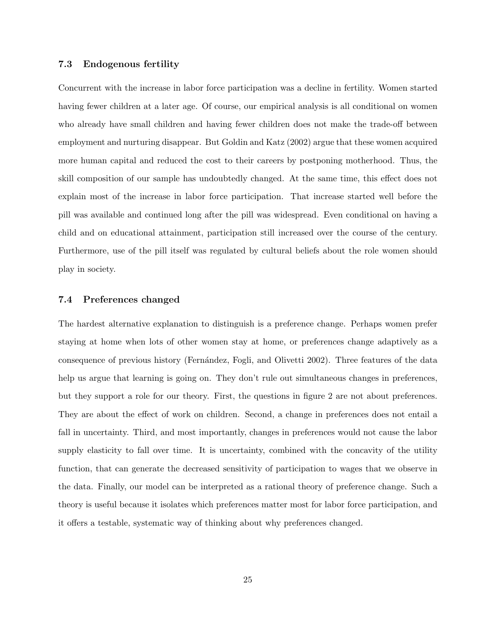#### 7.3 Endogenous fertility

Concurrent with the increase in labor force participation was a decline in fertility. Women started having fewer children at a later age. Of course, our empirical analysis is all conditional on women who already have small children and having fewer children does not make the trade-off between employment and nurturing disappear. But Goldin and Katz (2002) argue that these women acquired more human capital and reduced the cost to their careers by postponing motherhood. Thus, the skill composition of our sample has undoubtedly changed. At the same time, this effect does not explain most of the increase in labor force participation. That increase started well before the pill was available and continued long after the pill was widespread. Even conditional on having a child and on educational attainment, participation still increased over the course of the century. Furthermore, use of the pill itself was regulated by cultural beliefs about the role women should play in society.

#### 7.4 Preferences changed

The hardest alternative explanation to distinguish is a preference change. Perhaps women prefer staying at home when lots of other women stay at home, or preferences change adaptively as a consequence of previous history (Fernández, Fogli, and Olivetti 2002). Three features of the data help us argue that learning is going on. They don't rule out simultaneous changes in preferences, but they support a role for our theory. First, the questions in figure 2 are not about preferences. They are about the effect of work on children. Second, a change in preferences does not entail a fall in uncertainty. Third, and most importantly, changes in preferences would not cause the labor supply elasticity to fall over time. It is uncertainty, combined with the concavity of the utility function, that can generate the decreased sensitivity of participation to wages that we observe in the data. Finally, our model can be interpreted as a rational theory of preference change. Such a theory is useful because it isolates which preferences matter most for labor force participation, and it offers a testable, systematic way of thinking about why preferences changed.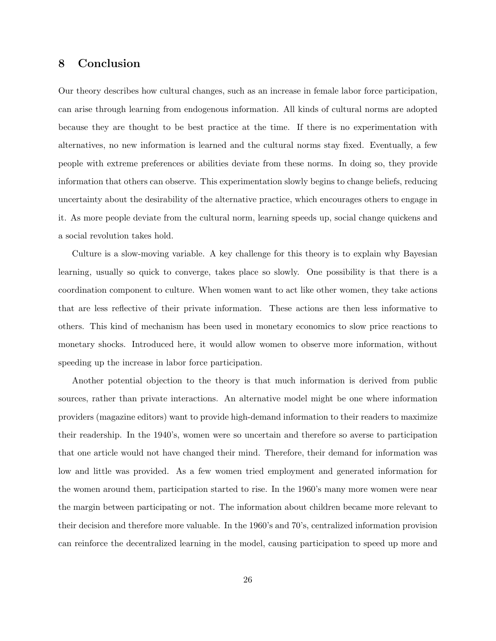### 8 Conclusion

Our theory describes how cultural changes, such as an increase in female labor force participation, can arise through learning from endogenous information. All kinds of cultural norms are adopted because they are thought to be best practice at the time. If there is no experimentation with alternatives, no new information is learned and the cultural norms stay fixed. Eventually, a few people with extreme preferences or abilities deviate from these norms. In doing so, they provide information that others can observe. This experimentation slowly begins to change beliefs, reducing uncertainty about the desirability of the alternative practice, which encourages others to engage in it. As more people deviate from the cultural norm, learning speeds up, social change quickens and a social revolution takes hold.

Culture is a slow-moving variable. A key challenge for this theory is to explain why Bayesian learning, usually so quick to converge, takes place so slowly. One possibility is that there is a coordination component to culture. When women want to act like other women, they take actions that are less reflective of their private information. These actions are then less informative to others. This kind of mechanism has been used in monetary economics to slow price reactions to monetary shocks. Introduced here, it would allow women to observe more information, without speeding up the increase in labor force participation.

Another potential objection to the theory is that much information is derived from public sources, rather than private interactions. An alternative model might be one where information providers (magazine editors) want to provide high-demand information to their readers to maximize their readership. In the 1940's, women were so uncertain and therefore so averse to participation that one article would not have changed their mind. Therefore, their demand for information was low and little was provided. As a few women tried employment and generated information for the women around them, participation started to rise. In the 1960's many more women were near the margin between participating or not. The information about children became more relevant to their decision and therefore more valuable. In the 1960's and 70's, centralized information provision can reinforce the decentralized learning in the model, causing participation to speed up more and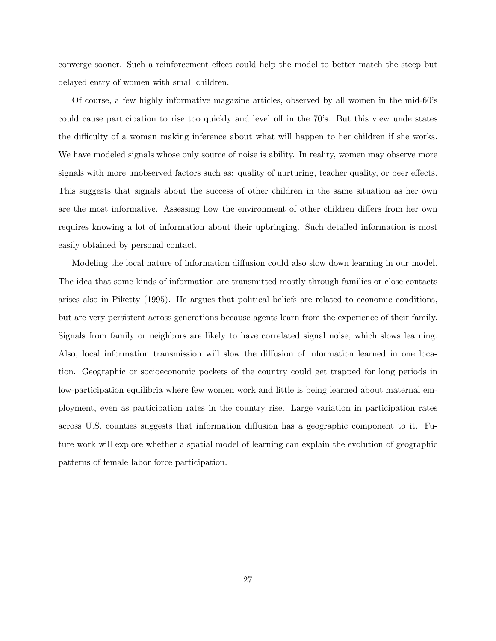converge sooner. Such a reinforcement effect could help the model to better match the steep but delayed entry of women with small children.

Of course, a few highly informative magazine articles, observed by all women in the mid-60's could cause participation to rise too quickly and level off in the 70's. But this view understates the difficulty of a woman making inference about what will happen to her children if she works. We have modeled signals whose only source of noise is ability. In reality, women may observe more signals with more unobserved factors such as: quality of nurturing, teacher quality, or peer effects. This suggests that signals about the success of other children in the same situation as her own are the most informative. Assessing how the environment of other children differs from her own requires knowing a lot of information about their upbringing. Such detailed information is most easily obtained by personal contact.

Modeling the local nature of information diffusion could also slow down learning in our model. The idea that some kinds of information are transmitted mostly through families or close contacts arises also in Piketty (1995). He argues that political beliefs are related to economic conditions, but are very persistent across generations because agents learn from the experience of their family. Signals from family or neighbors are likely to have correlated signal noise, which slows learning. Also, local information transmission will slow the diffusion of information learned in one location. Geographic or socioeconomic pockets of the country could get trapped for long periods in low-participation equilibria where few women work and little is being learned about maternal employment, even as participation rates in the country rise. Large variation in participation rates across U.S. counties suggests that information diffusion has a geographic component to it. Future work will explore whether a spatial model of learning can explain the evolution of geographic patterns of female labor force participation.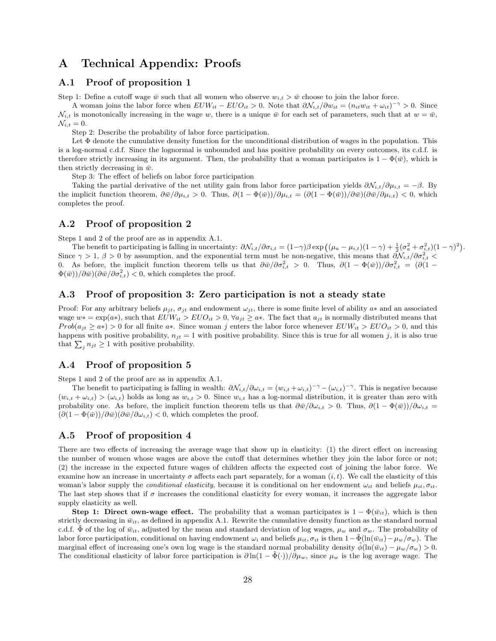# A Technical Appendix: Proofs

#### A.1 Proof of proposition 1

Step 1: Define a cutoff wage  $\bar{w}$  such that all women who observe  $w_{i,t} > \bar{w}$  choose to join the labor force.

A woman joins the labor force when  $EU W_{it} - E U O_{it} > 0$ . Note that  $\partial \mathcal{N}_{i,t} / \partial w_{it} = (n_{it} w_{it} + \omega_{it})^{-\gamma} > 0$ . Since  $\mathcal{N}_{i,t}$  is monotonically increasing in the wage w, there is a unique  $\bar{w}$  for each set of parameters, such that at  $w = \bar{w}$ ,  $\mathcal{N}_{i,t} = 0.$ 

Step 2: Describe the probability of labor force participation.

Let  $\Phi$  denote the cumulative density function for the unconditional distribution of wages in the population. This is a log-normal c.d.f. Since the lognormal is unbounded and has positive probability on every outcomes, its c.d.f. is therefore strictly increasing in its argument. Then, the probability that a woman participates is  $1 - \Phi(\bar{w})$ , which is then strictly decreasing in  $\bar{w}$ .

Step 3: The effect of beliefs on labor force participation

Taking the partial derivative of the net utility gain from labor force participation yields  $\partial \mathcal{N}_{i,t}/\partial \mu_{i,t} = -\beta$ . By the implicit function theorem,  $\frac{\partial \bar{w}}{\partial \mu_{i,t}} > 0$ . Thus,  $\frac{\partial (1 - \Phi(\bar{w}))}{\partial \mu_{i,t}} = \frac{\partial (1 - \Phi(\bar{w}))}{\partial \bar{w}} = \frac{\partial \bar{w}}{\partial \bar{w}} = \frac{\partial \bar{w}}{\partial \bar{w}} = \frac{\partial \bar{w}}{\partial \bar{w}}$ completes the proof.

#### A.2 Proof of proposition 2

Steps 1 and 2 of the proof are as in appendix A.1.

The benefit to participating is falling in uncertainty:  $\partial \mathcal{N}_{i,t}/\partial \sigma_{i,t} = (1-\gamma)\beta \exp((\mu_a - \mu_{i,t})(1-\gamma) + \frac{1}{2}(\sigma_a^2 + \sigma_{i,t}^2)(1-\gamma)^2).$ Since  $\gamma > 1$ ,  $\beta > 0$  by assumption, and the exponential term must be non-negative, this means that  $\partial \mathcal{N}_{i,t}/\partial \sigma_{i,t}^2$ 0. As before, the implicit function theorem tells us that  $\partial \bar{w}/\partial \sigma_{i,t}^2 > 0$ . Thus,  $\partial (1 - \Phi(\bar{w}))/\partial \sigma_{i,t}^2 = (\partial (1 - \Phi(\bar{w})) \sigma_{i,t}^2$  $\Phi(\bar{w})/\partial \bar{w}/\partial \bar{\omega}/\partial \sigma_{i,t}^2$  < 0, which completes the proof.

#### A.3 Proof of proposition 3: Zero participation is not a steady state

Proof: For any arbitrary beliefs  $\mu_{it}$ ,  $\sigma_{it}$  and endowment  $\omega_{it}$ , there is some finite level of ability  $a*$  and an associated wage  $w* = \exp(a*)$ , such that  $EUW_{it} > EUO_{it} > 0$ ,  $\forall a_{it} \geq a*$ . The fact that  $a_{it}$  is normally distributed means that  $Prob(a_{it} \geq a*) > 0$  for all finite  $a*$ . Since woman j enters the labor force whenever  $EUW_{it} > EUO_{it} > 0$ , and this happens with positive probability,  $n_{jt} = 1$  with positive probability. Since this is true for all women j, it is also true that  $\sum_j n_{jt} \geq 1$  with positive probability.

### A.4 Proof of proposition 5

Steps 1 and 2 of the proof are as in appendix A.1.

The benefit to participating is falling in wealth:  $\partial \mathcal{N}_{i,t}/\partial \omega_{i,t} = (w_{i,t} + \omega_{i,t})^{-\gamma} - (\omega_{i,t})^{-\gamma}$ . This is negative because  $(w_{i,t} + \omega_{i,t}) > (\omega_{i,t})$  holds as long as  $w_{i,t} > 0$ . Since  $w_{i,t}$  has a log-normal distribution, it is greater than zero with probability one. As before, the implicit function theorem tells us that  $\frac{\partial \bar{w}}{\partial \omega_{i,t}} > 0$ . Thus,  $\frac{\partial (1 - \Phi(\bar{w}))}{\partial \omega_{i,t}} =$  $(\partial (1 - \Phi(\bar{w})) / \partial \bar{w}) (\partial \bar{w}/\partial \omega_{i,t}) < 0$ , which completes the proof.

#### A.5 Proof of proposition 4

There are two effects of increasing the average wage that show up in elasticity: (1) the direct effect on increasing the number of women whose wages are above the cutoff that determines whether they join the labor force or not; (2) the increase in the expected future wages of children affects the expected cost of joining the labor force. We examine how an increase in uncertainty  $\sigma$  affects each part separately, for a woman  $(i, t)$ . We call the elasticity of this woman's labor supply the *conditional elasticity*, because it is conditional on her endowment  $\omega_{it}$  and beliefs  $\mu_{it}$ ,  $\sigma_{it}$ . The last step shows that if  $\sigma$  increases the conditional elasticity for every woman, it increases the aggregate labor supply elasticity as well.

Step 1: Direct own-wage effect. The probability that a woman participates is  $1 - \Phi(\bar{w}_{it})$ , which is then strictly decreasing in  $\bar{w}_{it}$ , as defined in appendix A.1. Rewrite the cumulative density function as the standard normal c.d.f.  $\Phi$  of the log of  $\bar{w}_{it}$ , adjusted by the mean and standard deviation of log wages,  $\mu_w$  and  $\sigma_w$ . The probability of labor force participation, conditional on having endowment  $\omega_i$  and beliefs  $\mu_{it}$ ,  $\sigma_{it}$  is then  $1-\tilde{\Phi}(\ln(\bar{w}_{it})-\mu_w/\sigma_w)$ . The marginal effect of increasing one's own log wage is the standard normal probability density  $\tilde{\phi}(\ln(\bar{w}_{it}) - \mu_w/\sigma_w) > 0$ . The conditional elasticity of labor force participation is  $\partial \ln(1 - \tilde{\Phi}(\cdot))/\partial \mu_w$ , since  $\mu_w$  is the log average wage. The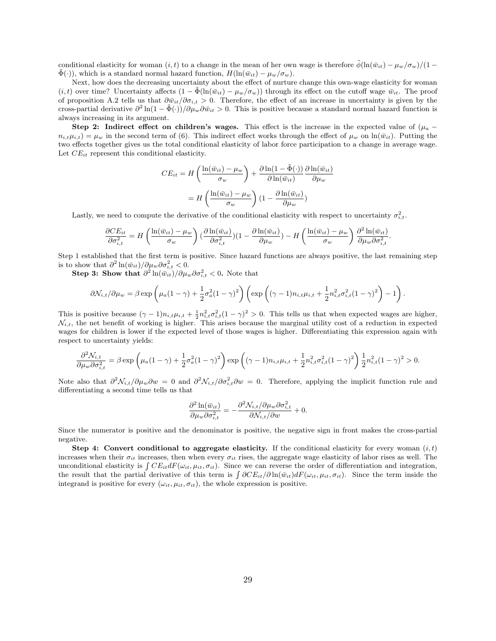conditional elasticity for woman  $(i, t)$  to a change in the mean of her own wage is therefore  $\tilde{\phi}(\ln(\bar{w}_{it}) - \mu_w/\sigma_w)/(1 \Phi(\cdot)$ , which is a standard normal hazard function,  $H(\ln(\bar{w}_{it}) - \mu_w/\sigma_w)$ .

Next, how does the decreasing uncertainty about the effect of nurture change this own-wage elasticity for woman  $(i, t)$  over time? Uncertainty affects  $(1 - \Phi(\ln(\bar{w}_{it}) - \mu_w/\sigma_w))$  through its effect on the cutoff wage  $\bar{w}_{it}$ . The proof of proposition A.2 tells us that  $\partial \bar{w}_{it}/\partial \sigma_{i,t} > 0$ . Therefore, the effect of an increase in uncertainty is given by the cross-partial derivative  $\partial^2 \ln(1-\tilde{\Phi}(\cdot))/\partial\mu_w\partial\bar{w}_{it} > 0$ . This is positive because a standard normal hazard function is always increasing in its argument.

Step 2: Indirect effect on children's wages. This effect is the increase in the expected value of  $(\mu_a$  $n_{i,t}\mu_{i,t} = \mu_w$  in the second term of (6). This indirect effect works through the effect of  $\mu_w$  on  $\ln(\bar{w}_{it})$ . Putting the two effects together gives us the total conditional elasticity of labor force participation to a change in average wage. Let  $CE_{it}$  represent this conditional elasticity.

$$
CE_{it} = H\left(\frac{\ln(\bar{w}_{it}) - \mu_w}{\sigma_w}\right) + \frac{\partial \ln(1 - \tilde{\Phi}(\cdot))}{\partial \ln(\bar{w}_{it})} \frac{\partial \ln(\bar{w}_{it})}{\partial \mu_w}
$$

$$
= H\left(\frac{\ln(\bar{w}_{it}) - \mu_w}{\sigma_w}\right) \left(1 - \frac{\partial \ln(\bar{w}_{it})}{\partial \mu_w}\right)
$$

Lastly, we need to compute the derivative of the conditional elasticity with respect to uncertainty  $\sigma_{i,t}^2$ .

$$
\frac{\partial CE_{it}}{\partial \sigma_{i,t}^2} = H\left(\frac{\ln(\bar{w}_{it}) - \mu_w}{\sigma_w}\right) \left(\frac{\partial \ln(\bar{w}_{it})}{\partial \sigma_{i,t}^2}\right) (1 - \frac{\partial \ln(\bar{w}_{it})}{\partial \mu_w}) - H\left(\frac{\ln(\bar{w}_{it}) - \mu_w}{\sigma_w}\right) \frac{\partial^2 \ln(\bar{w}_{it})}{\partial \mu_w \partial \sigma_{i,t}^2}.
$$

Step 1 established that the first term is positive. Since hazard functions are always positive, the last remaining step is to show that  $\partial^2 \ln(\bar{w}_{it})/\partial \mu_w \partial \sigma_{i,t}^2 < 0$ .

Step 3: Show that  $\partial^2 \ln(\bar{w}_{it})/\partial \mu_w \partial \sigma_{i,t}^2 < 0$ . Note that

$$
\partial \mathcal{N}_{i,t}/\partial \mu_w = \beta \exp\left(\mu_a (1-\gamma) + \frac{1}{2} \sigma_a^2 (1-\gamma)^2\right) \left(\exp\left((\gamma-1) n_{i,t} \mu_{i,t} + \frac{1}{2} n_{i,t}^2 \sigma_{i,t}^2 (1-\gamma)^2\right) - 1\right).
$$

This is positive because  $(\gamma - 1)n_{i,t}\mu_{i,t} + \frac{1}{2}n_{i,t}^2\sigma_{i,t}^2(1 - \gamma)^2 > 0$ . This tells us that when expected wages are higher,  $\mathcal{N}_{i,t}$ , the net benefit of working is higher. This arises because the marginal utility cost of a reduction in expected wages for children is lower if the expected level of those wages is higher. Differentiating this expression again with respect to uncertainty yields:

$$
\frac{\partial^2 \mathcal{N}_{i,t}}{\partial \mu_w \partial \sigma_{i,t}^2} = \beta \exp \left( \mu_a (1 - \gamma) + \frac{1}{2} \sigma_a^2 (1 - \gamma)^2 \right) \exp \left( (\gamma - 1) n_{i,t} \mu_{i,t} + \frac{1}{2} n_{i,t}^2 \sigma_{i,t}^2 (1 - \gamma)^2 \right) \frac{1}{2} n_{i,t}^2 (1 - \gamma)^2 > 0.
$$

Note also that  $\partial^2 \mathcal{N}_{i,t}/\partial \mu_w \partial w = 0$  and  $\partial^2 \mathcal{N}_{i,t}/\partial \sigma_{i,t}^2 \partial w = 0$ . Therefore, applying the implicit function rule and differentiating a second time tells us that

$$
\frac{\partial^2 \ln(\bar{w}_{it})}{\partial \mu_w \partial \sigma_{i,t}^2} = -\frac{\partial^2 \mathcal{N}_{i,t}}{\partial \mathcal{N}_{i,t}} / \partial \mu_w \partial \sigma_{i,t}^2 + 0.
$$

Since the numerator is positive and the denominator is positive, the negative sign in front makes the cross-partial negative.

Step 4: Convert conditional to aggregate elasticity. If the conditional elasticity for every woman  $(i, t)$ increases when their  $\sigma_{it}$  increases, then when every  $\sigma_{it}$  rises, the aggregate wage elasticity of labor rises as well. The unconditional elasticity is  $\int CE_{it}dF(\omega_{it}, \mu_{it}, \sigma_{it})$ . Since we can reverse the order of differentiation and integration, the result that the partial derivative of this term is  $\int \partial C E_{it}/\partial \ln(\bar{w}_{it}) dF(\omega_{it}, \mu_{it}, \sigma_{it})$ . Since the term inside the integrand is positive for every  $(\omega_{it}, \mu_{it}, \sigma_{it})$ , the whole expression is positive.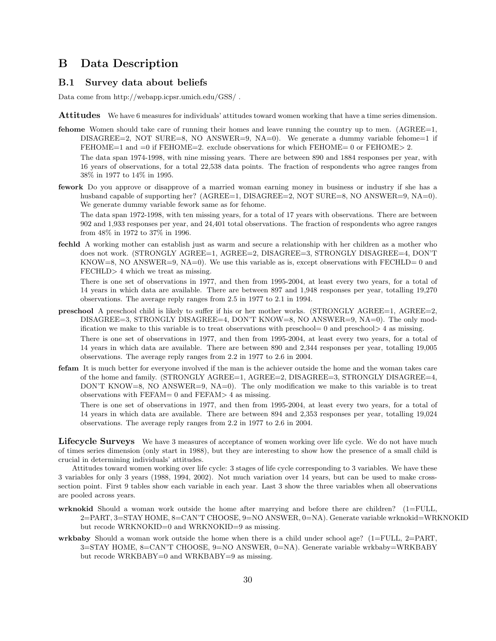# B Data Description

#### B.1 Survey data about beliefs

Data come from http://webapp.icpsr.umich.edu/GSS/ .

- Attitudes We have 6 measures for individuals' attitudes toward women working that have a time series dimension.
- **fehome** Women should take care of running their homes and leave running the country up to men.  $(AGREE=1,$ DISAGREE=2, NOT SURE=8, NO ANSWER=9,  $NA=0$ ). We generate a dummy variable fehome=1 if FEHOME=1 and =0 if FEHOME=2. exclude observations for which FEHOME= 0 or FEHOME> 2. The data span 1974-1998, with nine missing years. There are between 890 and 1884 responses per year, with

16 years of observations, for a total 22,538 data points. The fraction of respondents who agree ranges from 38% in 1977 to 14% in 1995.

fework Do you approve or disapprove of a married woman earning money in business or industry if she has a husband capable of supporting her? (AGREE=1, DISAGREE=2, NOT SURE=8, NO ANSWER=9, NA=0). We generate dummy variable fework same as for fehome.

The data span 1972-1998, with ten missing years, for a total of 17 years with observations. There are between 902 and 1,933 responses per year, and 24,401 total observations. The fraction of respondents who agree ranges from 48% in 1972 to 37% in 1996.

fechld A working mother can establish just as warm and secure a relationship with her children as a mother who does not work. (STRONGLY AGREE=1, AGREE=2, DISAGREE=3, STRONGLY DISAGREE=4, DON'T KNOW=8, NO ANSWER=9, NA=0). We use this variable as is, except observations with FECHLD= 0 and FECHLD> 4 which we treat as missing.

There is one set of observations in 1977, and then from 1995-2004, at least every two years, for a total of 14 years in which data are available. There are between 897 and 1,948 responses per year, totalling 19,270 observations. The average reply ranges from 2.5 in 1977 to 2.1 in 1994.

- preschool A preschool child is likely to suffer if his or her mother works. (STRONGLY AGREE=1, AGREE=2, DISAGREE=3, STRONGLY DISAGREE=4, DON'T KNOW=8, NO ANSWER=9, NA=0). The only modification we make to this variable is to treat observations with preschool= 0 and preschool > 4 as missing. There is one set of observations in 1977, and then from 1995-2004, at least every two years, for a total of 14 years in which data are available. There are between 890 and 2,344 responses per year, totalling 19,005 observations. The average reply ranges from 2.2 in 1977 to 2.6 in 2004.
- fefam It is much better for everyone involved if the man is the achiever outside the home and the woman takes care of the home and family. (STRONGLY AGREE=1, AGREE=2, DISAGREE=3, STRONGLY DISAGREE=4, DON'T KNOW=8, NO ANSWER=9, NA=0). The only modification we make to this variable is to treat observations with FEFAM= 0 and FEFAM> 4 as missing.

There is one set of observations in 1977, and then from 1995-2004, at least every two years, for a total of 14 years in which data are available. There are between 894 and 2,353 responses per year, totalling 19,024 observations. The average reply ranges from 2.2 in 1977 to 2.6 in 2004.

Lifecycle Surveys We have 3 measures of acceptance of women working over life cycle. We do not have much of times series dimension (only start in 1988), but they are interesting to show how the presence of a small child is crucial in determining individuals' attitudes.

Attitudes toward women working over life cycle: 3 stages of life cycle corresponding to 3 variables. We have these 3 variables for only 3 years (1988, 1994, 2002). Not much variation over 14 years, but can be used to make crosssection point. First 9 tables show each variable in each year. Last 3 show the three variables when all observations are pooled across years.

- wrknokid Should a woman work outside the home after marrying and before there are children? (1=FULL, 2=PART, 3=STAY HOME, 8=CAN'T CHOOSE, 9=NO ANSWER, 0=NA). Generate variable wrknokid=WRKNOKID but recode WRKNOKID=0 and WRKNOKID=9 as missing.
- wrkbaby Should a woman work outside the home when there is a child under school age?  $(1=FLUL, 2=PART,$ 3=STAY HOME, 8=CAN'T CHOOSE, 9=NO ANSWER, 0=NA). Generate variable wrkbaby=WRKBABY but recode WRKBABY=0 and WRKBABY=9 as missing.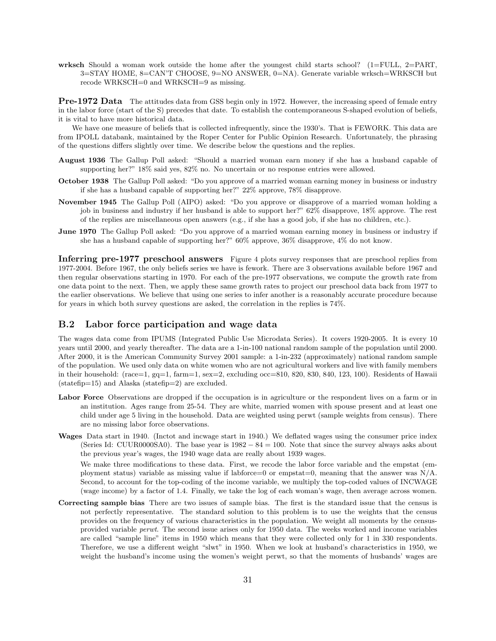wrksch Should a woman work outside the home after the youngest child starts school?  $(1 = FULL, 2 = PART,$ 3=STAY HOME, 8=CAN'T CHOOSE, 9=NO ANSWER, 0=NA). Generate variable wrksch=WRKSCH but recode WRKSCH=0 and WRKSCH=9 as missing.

**Pre-1972 Data** The attitudes data from GSS begin only in 1972. However, the increasing speed of female entry in the labor force (start of the S) precedes that date. To establish the contemporaneous S-shaped evolution of beliefs, it is vital to have more historical data.

We have one measure of beliefs that is collected infrequently, since the 1930's. That is FEWORK. This data are from IPOLL databank, maintained by the Roper Center for Public Opinion Research. Unfortunately, the phrasing of the questions differs slightly over time. We describe below the questions and the replies.

- August 1936 The Gallup Poll asked: "Should a married woman earn money if she has a husband capable of supporting her?" 18% said yes, 82% no. No uncertain or no response entries were allowed.
- October 1938 The Gallup Poll asked: "Do you approve of a married woman earning money in business or industry if she has a husband capable of supporting her?" 22% approve, 78% disapprove.
- November 1945 The Gallup Poll (AIPO) asked: "Do you approve or disapprove of a married woman holding a job in business and industry if her husband is able to support her?" 62% disapprove, 18% approve. The rest of the replies are miscellaneous open answers (e.g., if she has a good job, if she has no children, etc.).
- June 1970 The Gallup Poll asked: "Do you approve of a married woman earning money in business or industry if she has a husband capable of supporting her?" 60% approve, 36% disapprove, 4% do not know.

Inferring pre-1977 preschool answers Figure 4 plots survey responses that are preschool replies from 1977-2004. Before 1967, the only beliefs series we have is fework. There are 3 observations available before 1967 and then regular observations starting in 1970. For each of the pre-1977 observations, we compute the growth rate from one data point to the next. Then, we apply these same growth rates to project our preschool data back from 1977 to the earlier observations. We believe that using one series to infer another is a reasonably accurate procedure because for years in which both survey questions are asked, the correlation in the replies is 74%.

#### B.2 Labor force participation and wage data

The wages data come from IPUMS (Integrated Public Use Microdata Series). It covers 1920-2005. It is every 10 years until 2000, and yearly thereafter. The data are a 1-in-100 national random sample of the population until 2000. After 2000, it is the American Community Survey 2001 sample: a 1-in-232 (approximately) national random sample of the population. We used only data on white women who are not agricultural workers and live with family members in their household: (race=1, gq=1, farm=1, sex=2, excluding occ=810, 820, 830, 840, 123, 100). Residents of Hawaii (statefip=15) and Alaska (statefip=2) are excluded.

- Labor Force Observations are dropped if the occupation is in agriculture or the respondent lives on a farm or in an institution. Ages range from 25-54. They are white, married women with spouse present and at least one child under age 5 living in the household. Data are weighted using perwt (sample weights from census). There are no missing labor force observations.
- Wages Data start in 1940. (Inctot and incwage start in 1940.) We deflated wages using the consumer price index (Series Id: CUUR0000SA0). The base year is  $1982 - 84 = 100$ . Note that since the survey always asks about the previous year's wages, the 1940 wage data are really about 1939 wages.

We make three modifications to these data. First, we recode the labor force variable and the empstat (employment status) variable as missing value if labforce=0 or empstat=0, meaning that the answer was  $N/A$ . Second, to account for the top-coding of the income variable, we multiply the top-coded values of INCWAGE (wage income) by a factor of 1.4. Finally, we take the log of each woman's wage, then average across women.

Correcting sample bias There are two issues of sample bias. The first is the standard issue that the census is not perfectly representative. The standard solution to this problem is to use the weights that the census provides on the frequency of various characteristics in the population. We weight all moments by the censusprovided variable perwt. The second issue arises only for 1950 data. The weeks worked and income variables are called "sample line" items in 1950 which means that they were collected only for 1 in 330 respondents. Therefore, we use a different weight "slwt" in 1950. When we look at husband's characteristics in 1950, we weight the husband's income using the women's weight perwt, so that the moments of husbands' wages are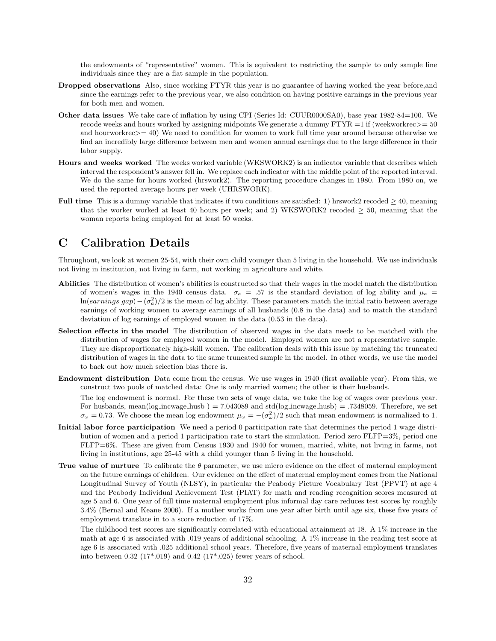the endowments of "representative" women. This is equivalent to restricting the sample to only sample line individuals since they are a flat sample in the population.

- Dropped observations Also, since working FTYR this year is no guarantee of having worked the year before,and since the earnings refer to the previous year, we also condition on having positive earnings in the previous year for both men and women.
- Other data issues We take care of inflation by using CPI (Series Id: CUUR0000SA0), base year 1982-84=100. We recode weeks and hours worked by assigning midpoints We generate a dummy  $FTYR = 1$  if (weekworkrec $>= 50$ and hourworkrec>= 40) We need to condition for women to work full time year around because otherwise we find an incredibly large difference between men and women annual earnings due to the large difference in their labor supply.
- Hours and weeks worked The weeks worked variable (WKSWORK2) is an indicator variable that describes which interval the respondent's answer fell in. We replace each indicator with the middle point of the reported interval. We do the same for hours worked (hrswork2). The reporting procedure changes in 1980. From 1980 on, we used the reported average hours per week (UHRSWORK).
- Full time This is a dummy variable that indicates if two conditions are satisfied: 1) hrswork2 recoded  $\geq 40$ , meaning that the worker worked at least 40 hours per week; and 2) WKSWORK2 recoded  $\geq$  50, meaning that the woman reports being employed for at least 50 weeks.

# C Calibration Details

Throughout, we look at women 25-54, with their own child younger than 5 living in the household. We use individuals not living in institution, not living in farm, not working in agriculture and white.

- Abilities The distribution of women's abilities is constructed so that their wages in the model match the distribution of women's wages in the 1940 census data.  $\sigma_a = .57$  is the standard deviation of log ability and  $\mu_a$ ln(earnings gap) –  $(\sigma_a^2)/2$  is the mean of log ability. These parameters match the initial ratio between average earnings of working women to average earnings of all husbands (0.8 in the data) and to match the standard deviation of log earnings of employed women in the data (0.53 in the data).
- Selection effects in the model The distribution of observed wages in the data needs to be matched with the distribution of wages for employed women in the model. Employed women are not a representative sample. They are disproportionately high-skill women. The calibration deals with this issue by matching the truncated distribution of wages in the data to the same truncated sample in the model. In other words, we use the model to back out how much selection bias there is.
- Endowment distribution Data come from the census. We use wages in 1940 (first available year). From this, we construct two pools of matched data: One is only married women; the other is their husbands.
	- The log endowment is normal. For these two sets of wage data, we take the log of wages over previous year. For husbands, mean( $log_incwage\_husb$ ) = 7.043089 and std( $log_incwage\_husb$ ) = .7348059. Therefore, we set  $\sigma_{\omega} = 0.73$ . We choose the mean log endowment  $\mu_{\omega} = -(\sigma_{\omega}^2)/2$  such that mean endowment is normalized to 1.
- Initial labor force participation We need a period 0 participation rate that determines the period 1 wage distribution of women and a period 1 participation rate to start the simulation. Period zero FLFP=3%, period one FLFP=6%. These are given from Census 1930 and 1940 for women, married, white, not living in farms, not living in institutions, age 25-45 with a child younger than 5 living in the household.
- True value of nurture To calibrate the  $\theta$  parameter, we use micro evidence on the effect of maternal employment on the future earnings of children. Our evidence on the effect of maternal employment comes from the National Longitudinal Survey of Youth (NLSY), in particular the Peabody Picture Vocabulary Test (PPVT) at age 4 and the Peabody Individual Achievement Test (PIAT) for math and reading recognition scores measured at age 5 and 6. One year of full time maternal employment plus informal day care reduces test scores by roughly 3.4% (Bernal and Keane 2006). If a mother works from one year after birth until age six, these five years of employment translate in to a score reduction of 17%.

The childhood test scores are significantly correlated with educational attainment at 18. A 1% increase in the math at age 6 is associated with .019 years of additional schooling. A 1% increase in the reading test score at age 6 is associated with .025 additional school years. Therefore, five years of maternal employment translates into between 0.32 (17\*.019) and 0.42 (17\*.025) fewer years of school.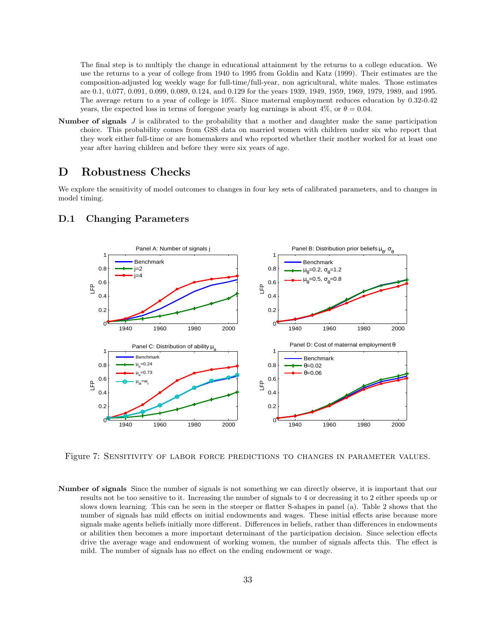The final step is to multiply the change in educational attainment by the returns to a college education. We use the returns to a year of college from 1940 to 1995 from Goldin and Katz (1999). Their estimates are the composition-adjusted log weekly wage for full-time/full-year, non agricultural, white males. Those estimates are 0.1, 0.077, 0.091, 0.099, 0.089, 0.124, and 0.129 for the years 1939, 1949, 1959, 1969, 1979, 1989, and 1995. The average return to a year of college is 10%. Since maternal employment reduces education by 0.32-0.42 years, the expected loss in terms of foregone yearly log earnings is about 4%, or  $\theta = 0.04$ .

**Number of signals**  $J$  is calibrated to the probability that a mother and daughter make the same participation choice. This probability comes from GSS data on married women with children under six who report that they work either full-time or are homemakers and who reported whether their mother worked for at least one year after having children and before they were six years of age.

### D Robustness Checks

We explore the sensitivity of model outcomes to changes in four key sets of calibrated parameters, and to changes in model timing.



### D.1 Changing Parameters

Figure 7: SENSITIVITY OF LABOR FORCE PREDICTIONS TO CHANGES IN PARAMETER VALUES.

Number of signals Since the number of signals is not something we can directly observe, it is important that our results not be too sensitive to it. Increasing the number of signals to 4 or decreasing it to 2 either speeds up or slows down learning. This can be seen in the steeper or flatter S-shapes in panel (a). Table 2 shows that the number of signals has mild effects on initial endowments and wages. These initial effects arise because more signals make agents beliefs initially more different. Differences in beliefs, rather than differences in endowments or abilities then becomes a more important determinant of the participation decision. Since selection effects drive the average wage and endowment of working women, the number of signals affects this. The effect is mild. The number of signals has no effect on the ending endowment or wage.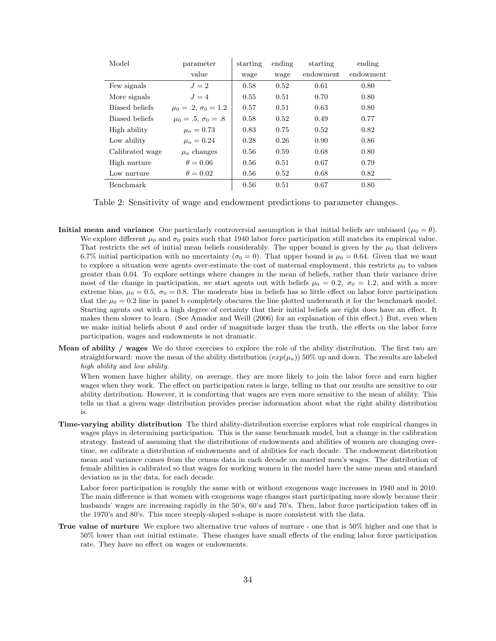| Model            | parameter                    | starting | ending | starting  | ending    |
|------------------|------------------------------|----------|--------|-----------|-----------|
|                  | value                        | wage     | wage   | endowment | endowment |
| Few signals      | $J=2$                        | 0.58     | 0.52   | 0.61      | 0.80      |
| More signals     | $J=4$                        | 0.55     | 0.51   | 0.70      | 0.80      |
| Biased beliefs   | $\mu_0 = .2, \sigma_0 = 1.2$ | 0.57     | 0.51   | 0.63      | 0.80      |
| Biased beliefs   | $\mu_0 = .5, \sigma_0 = .8$  | 0.58     | 0.52   | 0.49      | 0.77      |
| High ability     | $\mu_a = 0.73$               | 0.83     | 0.75   | 0.52      | 0.82      |
| Low ability      | $\mu_a = 0.24$               | 0.28     | 0.26   | 0.90      | 0.86      |
| Calibrated wage  | $\mu_a$ changes              | 0.56     | 0.59   | 0.68      | 0.80      |
| High nurture     | $\theta = 0.06$              | 0.56     | 0.51   | 0.67      | 0.79      |
| Low nurture      | $\theta = 0.02$              | 0.56     | 0.52   | 0.68      | 0.82      |
| <b>Benchmark</b> |                              | 0.56     | 0.51   | 0.67      | 0.80      |

Table 2: Sensitivity of wage and endowment predictions to parameter changes.

- **Initial mean and variance** One particularly controversial assumption is that initial beliefs are unbiased ( $\mu_0 = \theta$ ). We explore different  $\mu_0$  and  $\sigma_0$  pairs such that 1940 labor force participation still matches its empirical value. That restricts the set of initial mean beliefs considerably. The upper bound is given by the  $\mu_0$  that delivers 6.7% initial participation with no uncertainty ( $\sigma_0 = 0$ ). That upper bound is  $\mu_0 = 0.64$ . Given that we want to explore a situation were agents over-estimate the cost of maternal employment, this restricts  $\mu_0$  to values greater than 0.04. To explore settings where changes in the mean of beliefs, rather than their variance drive most of the change in participation, we start agents out with beliefs  $\mu_0 = 0.2$ ,  $\sigma_0 = 1.2$ , and with a more extreme bias,  $\mu_0 = 0.5$ ,  $\sigma_0 = 0.8$ . The moderate bias in beliefs has so little effect on labor force participation that the  $\mu_0 = 0.2$  line in panel b completely obscures the line plotted underneath it for the benchmark model. Starting agents out with a high degree of certainty that their initial beliefs are right does have an effect. It makes them slower to learn. (See Amador and Weill (2006) for an explanation of this effect.) But, even when we make initial beliefs about  $\theta$  and order of magnitude larger than the truth, the effects on the labor force participation, wages and endowments is not dramatic.
- Mean of ability / wages We do three exercises to explore the role of the ability distribution. The first two are straightforward: move the mean of the ability distribution  $(exp(\mu_a))$  50% up and down. The results are labeled high ability and low ability.

When women have higher ability, on average, they are more likely to join the labor force and earn higher wages when they work. The effect on participation rates is large, telling us that our results are sensitive to our ability distribution. However, it is comforting that wages are even more sensitive to the mean of ability. This tells us that a given wage distribution provides precise information about what the right ability distribution is.

Time-varying ability distribution The third ability-distribution exercise explores what role empirical changes in wages plays in determining participation. This is the same benchmark model, but a change in the calibration strategy. Instead of assuming that the distributions of endowments and abilities of women are changing overtime, we calibrate a distribution of endowments and of abilities for each decade. The endowment distribution mean and variance comes from the census data in each decade on married men's wages. The distribution of female abilities is calibrated so that wages for working women in the model have the same mean and standard deviation as in the data, for each decade.

Labor force participation is roughly the same with or without exogenous wage increases in 1940 and in 2010. The main difference is that women with exogenous wage changes start participating more slowly because their husbands' wages are increasing rapidly in the 50's, 60's and 70's. Then, labor force participation takes off in the 1970's and 80's. This more steeply-sloped s-shape is more consistent with the data.

True value of nurture We explore two alternative true values of nurture - one that is 50% higher and one that is 50% lower than out initial estimate. These changes have small effects of the ending labor force participation rate. They have no effect on wages or endowments.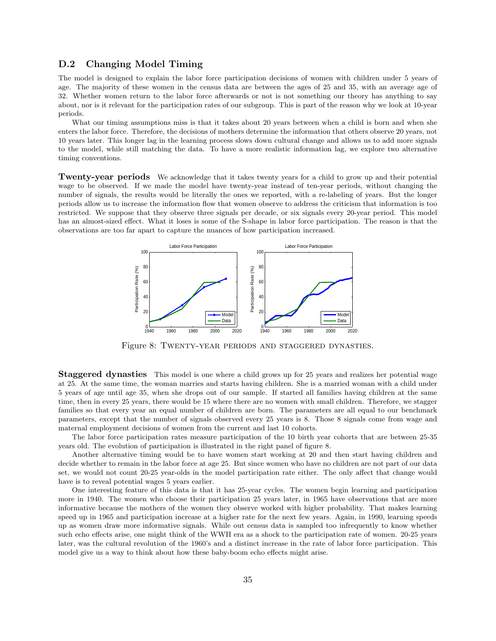#### D.2 Changing Model Timing

The model is designed to explain the labor force participation decisions of women with children under 5 years of age. The majority of these women in the census data are between the ages of 25 and 35, with an average age of 32. Whether women return to the labor force afterwards or not is not something our theory has anything to say about, nor is it relevant for the participation rates of our subgroup. This is part of the reason why we look at 10-year periods.

What our timing assumptions miss is that it takes about 20 years between when a child is born and when she enters the labor force. Therefore, the decisions of mothers determine the information that others observe 20 years, not 10 years later. This longer lag in the learning process slows down cultural change and allows us to add more signals to the model, while still matching the data. To have a more realistic information lag, we explore two alternative timing conventions.

Twenty-year periods We acknowledge that it takes twenty years for a child to grow up and their potential wage to be observed. If we made the model have twenty-year instead of ten-year periods, without changing the number of signals, the results would be literally the ones we reported, with a re-labeling of years. But the longer periods allow us to increase the information flow that women observe to address the criticism that information is too restricted. We suppose that they observe three signals per decade, or six signals every 20-year period. This model has an almost-sized effect. What it loses is some of the S-shape in labor force participation. The reason is that the observations are too far apart to capture the nuances of how participation increased.



Figure 8: Twenty-year periods and staggered dynasties.

**Staggered dynasties** This model is one where a child grows up for 25 years and realizes her potential wage at 25. At the same time, the woman marries and starts having children. She is a married woman with a child under 5 years of age until age 35, when she drops out of our sample. If started all families having children at the same time, then in every 25 years, there would be 15 where there are no women with small children. Therefore, we stagger families so that every year an equal number of children are born. The parameters are all equal to our benchmark parameters, except that the number of signals observed every 25 years is 8. Those 8 signals come from wage and maternal employment decisions of women from the current and last 10 cohorts.

The labor force participation rates measure participation of the 10 birth year cohorts that are between 25-35 years old. The evolution of participation is illustrated in the right panel of figure 8.

Another alternative timing would be to have women start working at 20 and then start having children and decide whether to remain in the labor force at age 25. But since women who have no children are not part of our data set, we would not count 20-25 year-olds in the model participation rate either. The only affect that change would have is to reveal potential wages 5 years earlier.

One interesting feature of this data is that it has 25-year cycles. The women begin learning and participation more in 1940. The women who choose their participation 25 years later, in 1965 have observations that are more informative because the mothers of the women they observe worked with higher probability. That makes learning speed up in 1965 and participation increase at a higher rate for the next few years. Again, in 1990, learning speeds up as women draw more informative signals. While out census data is sampled too infrequently to know whether such echo effects arise, one might think of the WWII era as a shock to the participation rate of women. 20-25 years later, was the cultural revolution of the 1960's and a distinct increase in the rate of labor force participation. This model give us a way to think about how these baby-boom echo effects might arise.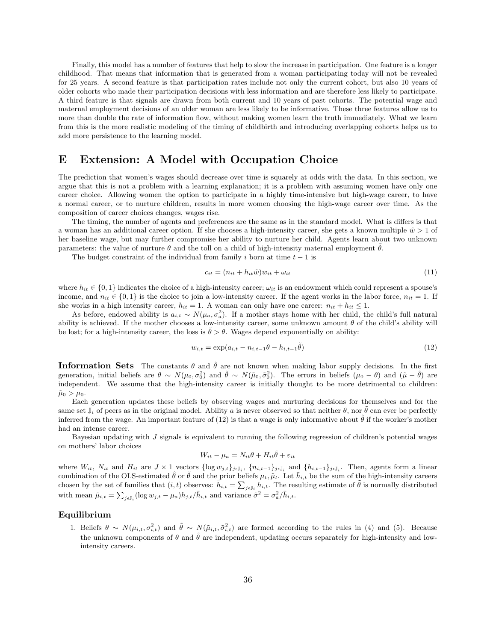Finally, this model has a number of features that help to slow the increase in participation. One feature is a longer childhood. That means that information that is generated from a woman participating today will not be revealed for 25 years. A second feature is that participation rates include not only the current cohort, but also 10 years of older cohorts who made their participation decisions with less information and are therefore less likely to participate. A third feature is that signals are drawn from both current and 10 years of past cohorts. The potential wage and maternal employment decisions of an older woman are less likely to be informative. These three features allow us to more than double the rate of information flow, without making women learn the truth immediately. What we learn from this is the more realistic modeling of the timing of childbirth and introducing overlapping cohorts helps us to add more persistence to the learning model.

# E Extension: A Model with Occupation Choice

The prediction that women's wages should decrease over time is squarely at odds with the data. In this section, we argue that this is not a problem with a learning explanation; it is a problem with assuming women have only one career choice. Allowing women the option to participate in a highly time-intensive but high-wage career, to have a normal career, or to nurture children, results in more women choosing the high-wage career over time. As the composition of career choices changes, wages rise.

The timing, the number of agents and preferences are the same as in the standard model. What is differs is that a woman has an additional career option. If she chooses a high-intensity career, she gets a known multiple  $\tilde{w} > 1$  of her baseline wage, but may further compromise her ability to nurture her child. Agents learn about two unknown parameters: the value of nurture  $\theta$  and the toll on a child of high-intensity maternal employment  $\bar{\theta}$ .

The budget constraint of the individual from family i born at time  $t - 1$  is

$$
c_{it} = (n_{it} + h_{it}\tilde{w})w_{it} + \omega_{it}
$$
\n<sup>(11)</sup>

where  $h_{it} \in \{0,1\}$  indicates the choice of a high-intensity career;  $\omega_{it}$  is an endowment which could represent a spouse's income, and  $n_{it} \in \{0,1\}$  is the choice to join a low-intensity career. If the agent works in the labor force,  $n_{it} = 1$ . If she works in a high intensity career,  $h_{it} = 1$ . A woman can only have one career:  $n_{it} + h_{it} \leq 1$ .

As before, endowed ability is  $a_{i,t} \sim N(\mu_a, \sigma_a^2)$ . If a mother stays home with her child, the child's full natural ability is achieved. If the mother chooses a low-intensity career, some unknown amount  $\theta$  of the child's ability will be lost; for a high-intensity career, the loss is  $\tilde{\theta} > \theta$ . Wages depend exponentially on ability:

$$
w_{i,t} = \exp(a_{i,t} - n_{i,t-1}\theta - h_{i,t-1}\tilde{\theta})
$$
\n(12)

**Information Sets** The constants  $\theta$  and  $\tilde{\theta}$  are not known when making labor supply decisions. In the first generation, initial beliefs are  $\theta \sim N(\mu_0, \sigma_0^2)$  and  $\tilde{\theta} \sim N(\tilde{\mu}_0, \tilde{\sigma}_0^2)$ . The errors in beliefs  $(\mu_0 - \theta)$  and  $(\tilde{\mu} - \tilde{\theta})$  are independent. We assume that the high-intensity career is initially thought to be more detrimental to children:  $\tilde{\mu}_0 > \mu_0$ .

Each generation updates these beliefs by observing wages and nurturing decisions for themselves and for the same set  $\mathbb{J}_i$  of peers as in the original model. Ability a is never observed so that neither  $\theta$ , nor  $\tilde{\theta}$  can ever be perfectly inferred from the wage. An important feature of (12) is that a wage is only informative about  $\tilde{\theta}$  if the worker's mother had an intense career.

Bayesian updating with  $J$  signals is equivalent to running the following regression of children's potential wages on mothers' labor choices

$$
W_{it} - \mu_a = N_{it}\theta + H_{it}\tilde{\theta} + \varepsilon_{it}
$$

where  $W_{it}$ ,  $N_{it}$  and  $H_{it}$  are  $J \times 1$  vectors  $\{\log w_{j,t}\}_{j\in J_i}$ ,  $\{n_{i,t-1}\}_{j\in J_i}$  and  $\{h_{i,t-1}\}_{j\in J_i}$ . Then, agents form a linear combination of the OLS-estimated  $\hat{\theta}$  or  $\tilde{\theta}$  and the prior beliefs  $\mu_t$ ,  $\tilde{\mu}_t$ . Let  $\bar{h}_{i,t}$  be the sum of the high-intensity careers chosen by the set of families that  $(i, t)$  observes:  $\overline{h}_{i,t} = \sum_{j \in \mathbb{J}_i} h_{i,t}$ . The resulting estimate of  $\tilde{\theta}$  is normally distributed with mean  $\tilde{\mu}_{i,t} = \sum_{j \in \mathbb{J}_i} (\log w_{j,t} - \mu_a) h_{j,t} / \bar{h}_{i,t}$  and variance  $\tilde{\sigma}^2 = \sigma_a^2 / \bar{h}_{i,t}$ .

#### Equilibrium

1. Beliefs  $\theta \sim N(\mu_{i,t}, \sigma_{i,t}^2)$  and  $\tilde{\theta} \sim N(\tilde{\mu}_{i,t}, \tilde{\sigma}_{i,t}^2)$  are formed according to the rules in (4) and (5). Because the unknown components of  $\theta$  and  $\tilde{\theta}$  are independent, updating occurs separately for high-intensity and lowintensity careers.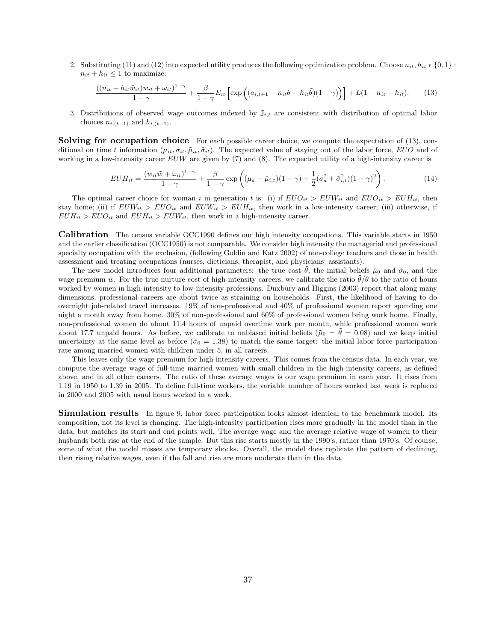2. Substituting (11) and (12) into expected utility produces the following optimization problem. Choose  $n_{it}$ ,  $h_{it} \in \{0,1\}$ :  $n_{it} + h_{it} \leq 1$  to maximize:

$$
\frac{((n_{it}+h_{it}\tilde{w}_{it})w_{it}+\omega_{it})^{1-\gamma}}{1-\gamma}+\frac{\beta}{1-\gamma}E_{it}\left[\exp\left((a_{i,t+1}-n_{it}\theta-h_{it}\tilde{\theta})(1-\gamma)\right)\right]+L(1-n_{it}-h_{it}).\hspace{0.5cm}(13)
$$

3. Distributions of observed wage outcomes indexed by  $\mathbb{J}_{i,t}$  are consistent with distribution of optimal labor choices  $n_{i,(t-1)}$  and  $h_{i,(t-1)}$ .

**Solving for occupation choice** For each possible career choice, we compute the expectation of (13), conditional on time t information  $(\mu_{it}, \sigma_{it}, \tilde{\mu}_{it}, \tilde{\sigma}_{it})$ . The expected value of staying out of the labor force, EUO and of working in a low-intensity career  $EUW$  are given by (7) and (8). The expected utility of a high-intensity career is

$$
EUH_{it} = \frac{(w_{it}\tilde{w} + \omega_{it})^{1-\gamma}}{1-\gamma} + \frac{\beta}{1-\gamma} \exp\left((\mu_a - \tilde{\mu}_{i,t})(1-\gamma) + \frac{1}{2}(\sigma_a^2 + \tilde{\sigma}_{i,t}^2)(1-\gamma)^2\right).
$$
 (14)

The optimal career choice for woman i in generation t is: (i) if  $EUO_{it} > EUW_{it}$  and  $EUO_{it} > EUH_{it}$ , then stay home; (ii) if  $EUW_{it} > EUO_{it}$  and  $EUW_{it} > EUH_{it}$ , then work in a low-intensity career; (iii) otherwise, if  $EUH_{it} > EUO_{it}$  and  $EUH_{it} > EUW_{it}$ , then work in a high-intensity career.

Calibration The census variable OCC1990 defines our high intensity occupations. This variable starts in 1950 and the earlier classification (OCC1950) is not comparable. We consider high intensity the managerial and professional specialty occupation with the exclusion, (following Goldin and Katz 2002) of non-college teachers and those in health assessment and treating occupations (nurses, dieticians, therapist, and physicians' assistants).

The new model introduces four additional parameters: the true cost  $\hat{\theta}$ , the initial beliefs  $\tilde{\mu}_0$  and  $\tilde{\sigma}_0$ , and the wage premium  $\tilde{w}$ . For the true nurture cost of high-intensity careers, we calibrate the ratio  $\theta/\theta$  to the ratio of hours worked by women in high-intensity to low-intensity professions. Duxbury and Higgins (2003) report that along many dimensions, professional careers are about twice as straining on households. First, the likelihood of having to do overnight job-related travel increases. 19% of non-professional and 40% of professional women report spending one night a month away from home. 30% of non-professional and 60% of professional women bring work home. Finally, non-professional women do about 11.4 hours of unpaid overtime work per month, while professional women work about 17.7 unpaid hours. As before, we calibrate to unbiased initial beliefs ( $\tilde{\mu}_0 = \tilde{\theta} = 0.08$ ) and we keep initial uncertainty at the same level as before  $(\tilde{\sigma}_0 = 1.38)$  to match the same target: the initial labor force participation rate among married women with children under 5, in all careers.

This leaves only the wage premium for high-intensity careers. This comes from the census data. In each year, we compute the average wage of full-time married women with small children in the high-intensity careers, as defined above, and in all other careers. The ratio of these average wages is our wage premium in each year. It rises from 1.19 in 1950 to 1.39 in 2005. To define full-time workers, the variable number of hours worked last week is replaced in 2000 and 2005 with usual hours worked in a week.

Simulation results In figure 9, labor force participation looks almost identical to the benchmark model. Its composition, not its level is changing. The high-intensity participation rises more gradually in the model than in the data, but matches its start and end points well. The average wage and the average relative wage of women to their husbands both rise at the end of the sample. But this rise starts mostly in the 1990's, rather than 1970's. Of course, some of what the model misses are temporary shocks. Overall, the model does replicate the pattern of declining, then rising relative wages, even if the fall and rise are more moderate than in the data.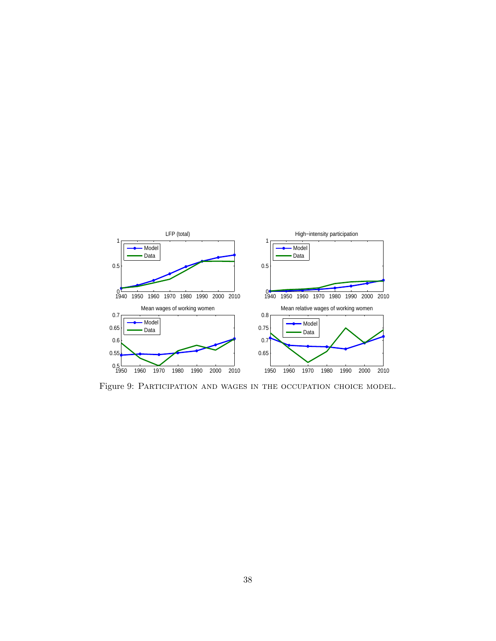

Figure 9: Participation and wages in the occupation choice model.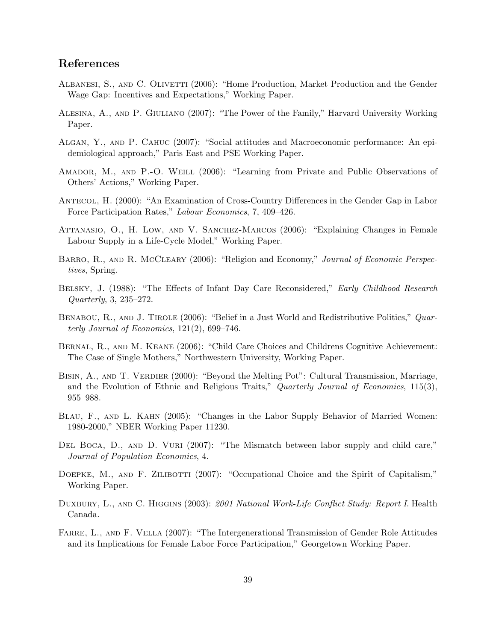# References

- ALBANESI, S., AND C. OLIVETTI (2006): "Home Production, Market Production and the Gender Wage Gap: Incentives and Expectations," Working Paper.
- Alesina, A., and P. Giuliano (2007): "The Power of the Family," Harvard University Working Paper.
- Algan, Y., and P. Cahuc (2007): "Social attitudes and Macroeconomic performance: An epidemiological approach," Paris East and PSE Working Paper.
- Amador, M., and P.-O. Weill (2006): "Learning from Private and Public Observations of Others' Actions," Working Paper.
- Antecol, H. (2000): "An Examination of Cross-Country Differences in the Gender Gap in Labor Force Participation Rates," Labour Economics, 7, 409–426.
- ATTANASIO, O., H. LOW, AND V. SANCHEZ-MARCOS (2006): "Explaining Changes in Female Labour Supply in a Life-Cycle Model," Working Paper.
- BARRO, R., AND R. MCCLEARY (2006): "Religion and Economy," Journal of Economic Perspectives, Spring.
- Belsky, J. (1988): "The Effects of Infant Day Care Reconsidered," Early Childhood Research Quarterly, 3, 235–272.
- BENABOU, R., AND J. TIROLE (2006): "Belief in a Just World and Redistributive Politics," Quarterly Journal of Economics,  $121(2)$ , 699–746.
- Bernal, R., and M. Keane (2006): "Child Care Choices and Childrens Cognitive Achievement: The Case of Single Mothers," Northwestern University, Working Paper.
- BISIN, A., AND T. VERDIER (2000): "Beyond the Melting Pot": Cultural Transmission, Marriage, and the Evolution of Ethnic and Religious Traits," Quarterly Journal of Economics, 115(3), 955–988.
- Blau, F., and L. Kahn (2005): "Changes in the Labor Supply Behavior of Married Women: 1980-2000," NBER Working Paper 11230.
- DEL BOCA, D., AND D. VURI (2007): "The Mismatch between labor supply and child care," Journal of Population Economics, 4.
- DOEPKE, M., AND F. ZILIBOTTI (2007): "Occupational Choice and the Spirit of Capitalism," Working Paper.
- DUXBURY, L., AND C. HIGGINS (2003): 2001 National Work-Life Conflict Study: Report I. Health Canada.
- FARRE, L., AND F. VELLA (2007): "The Intergenerational Transmission of Gender Role Attitudes and its Implications for Female Labor Force Participation," Georgetown Working Paper.